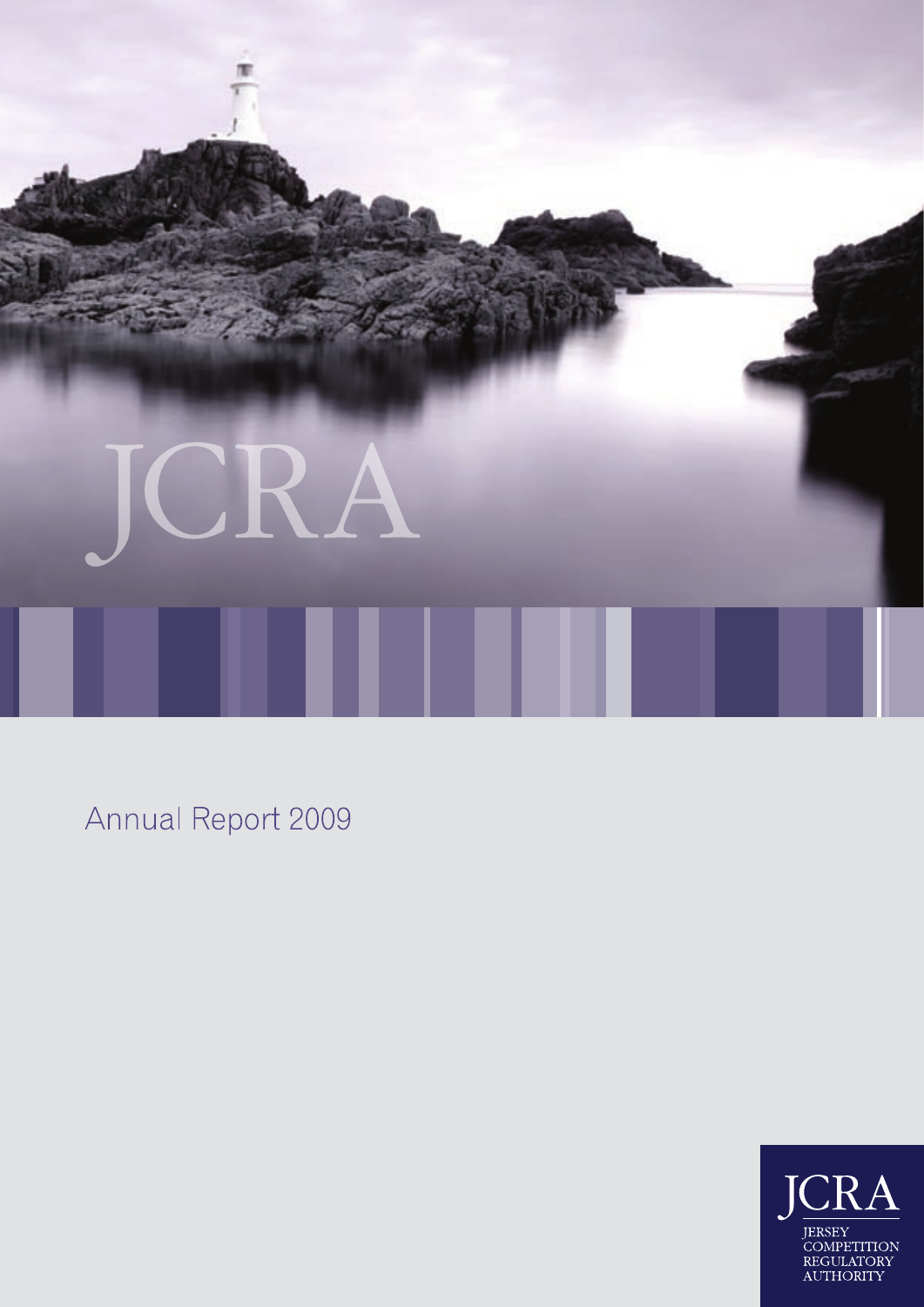

Annual Report 2009

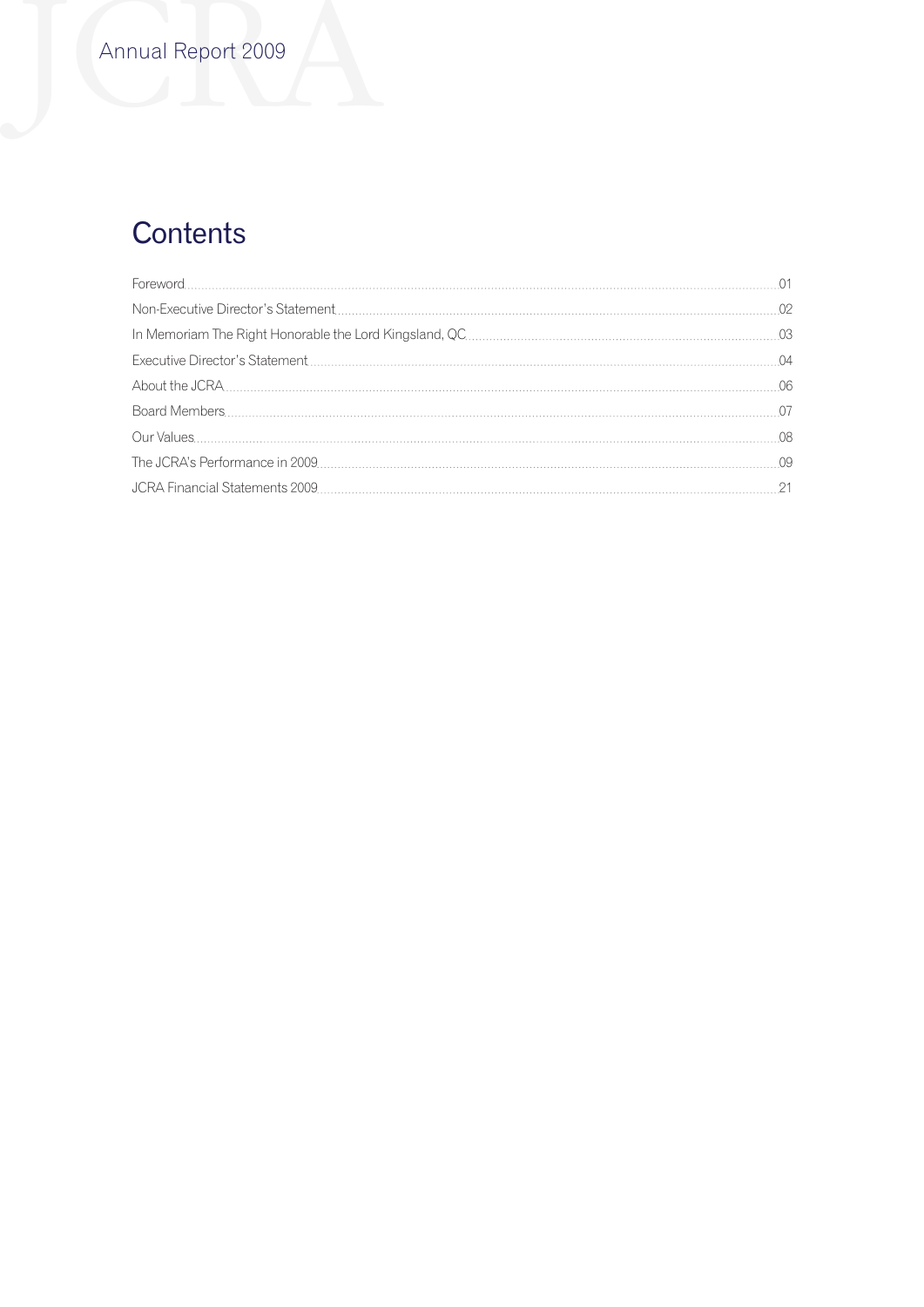# **Contents**

|  | 04   |
|--|------|
|  | 06   |
|  |      |
|  | -08  |
|  | - 09 |
|  | - 21 |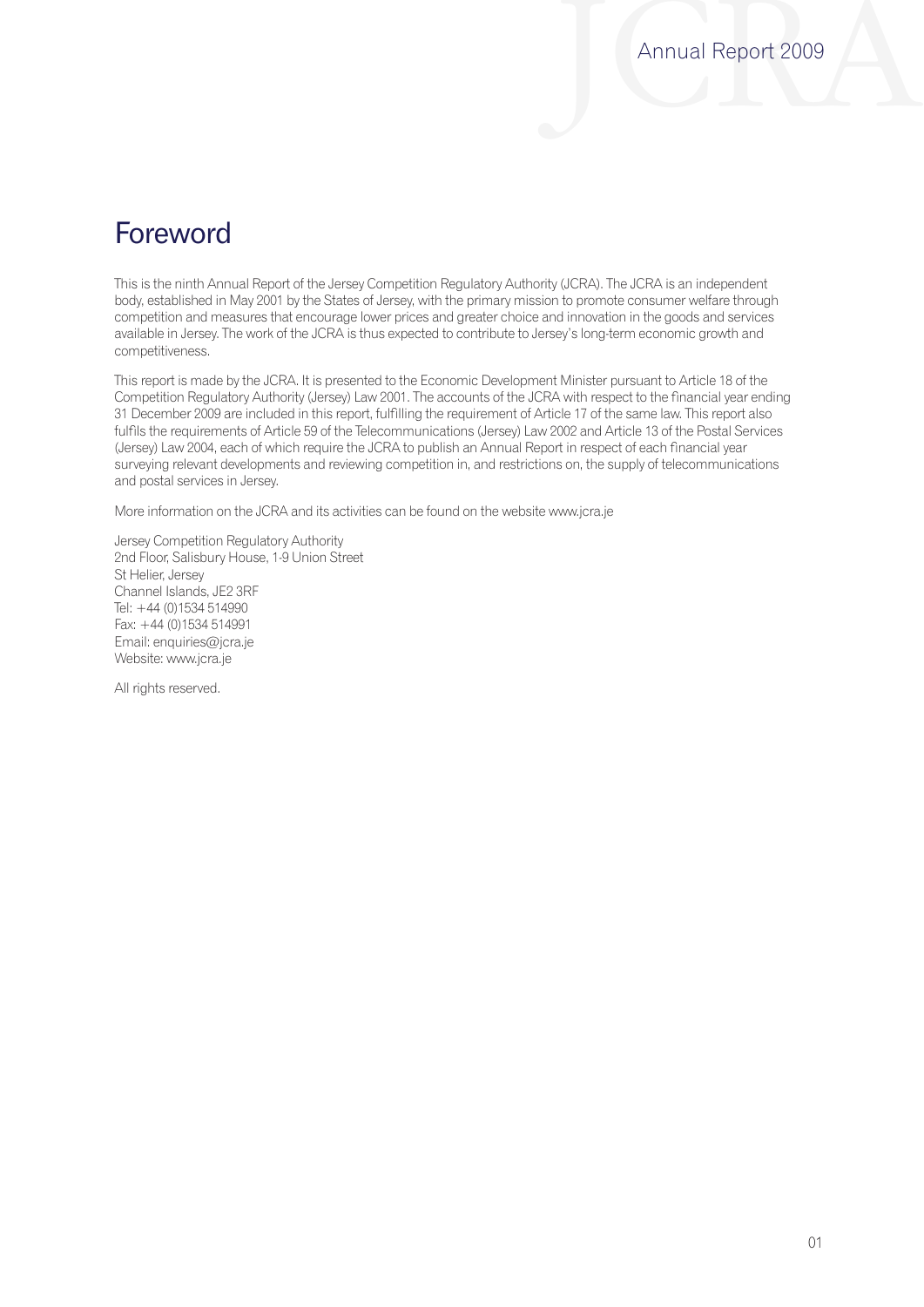## Foreword

This is the ninth Annual Report of the Jersey Competition Regulatory Authority (JCRA). The JCRA is an independent body, established in May 2001 by the States of Jersey, with the primary mission to promote consumer welfare through competition and measures that encourage lower prices and greater choice and innovation in the goods and services available in Jersey. The work of the JCRA is thus expected to contribute to Jersey's long-term economic growth and competitiveness.

This report is made by the JCRA. It is presented to the Economic Development Minister pursuant to Article 18 of the Competition Regulatory Authority (Jersey) Law 2001. The accounts of the JCRA with respect to the financial year ending 31 December 2009 are included in this report, fulfilling the requirement of Article 17 of the same law. This report also fulfils the requirements of Article 59 of the Telecommunications (Jersey) Law 2002 and Article 13 of the Postal Services (Jersey) Law 2004, each of which require the JCRA to publish an Annual Report in respect of each financial year surveying relevant developments and reviewing competition in, and restrictions on, the supply of telecommunications and postal services in Jersey.

More information on the JCRA and its activities can be found on the website www.jcra.je

Jersey Competition Regulatory Authority 2nd Floor, Salisbury House, 1-9 Union Street St Helier, Jersey Channel Islands, JE2 3RF Tel: +44 (0)1534 514990 Fax: +44 (0)1534 514991 Email: enquiries@jcra.je Website: www.jcra.je

All rights reserved.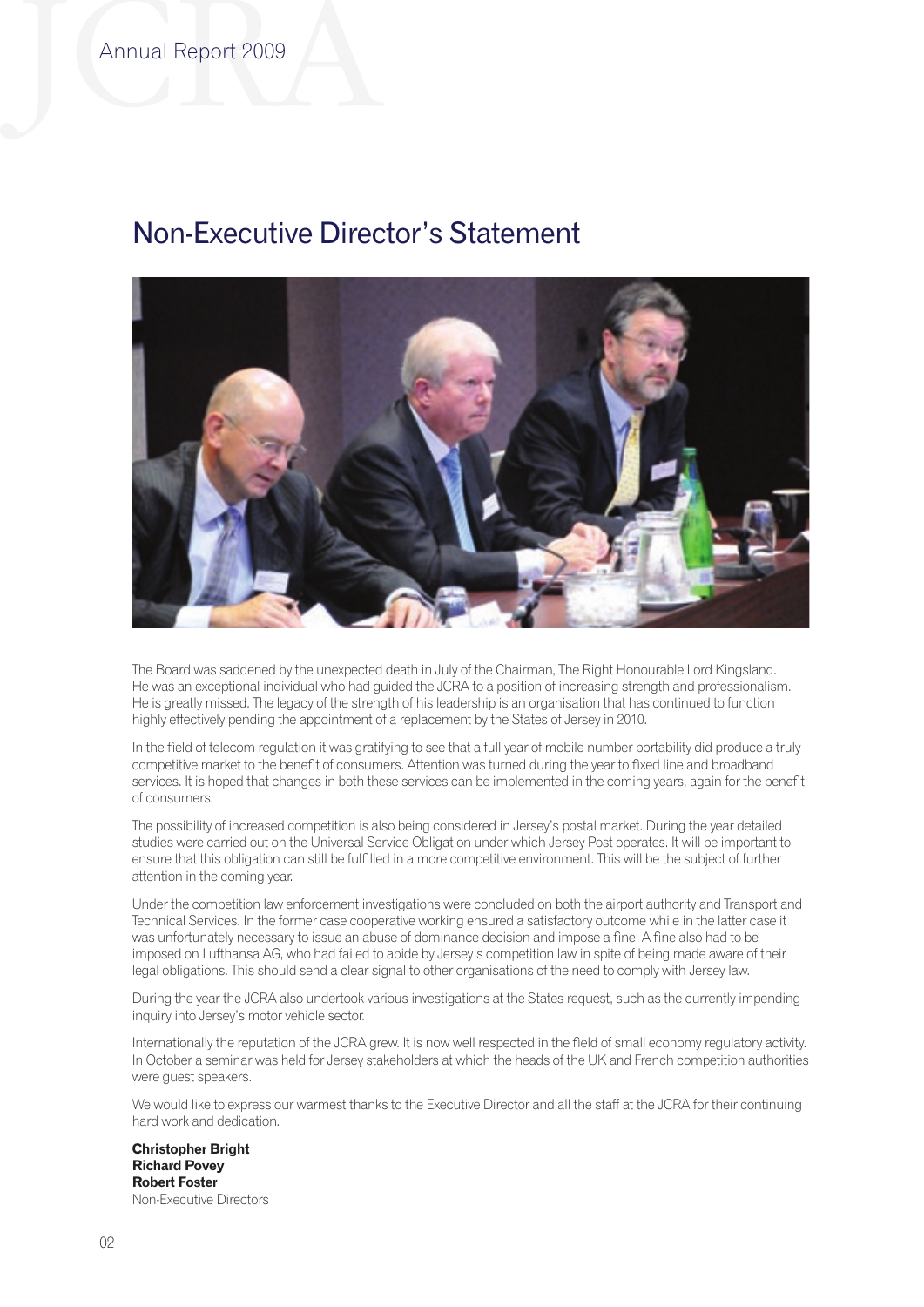## Non-Executive Director's Statement



The Board was saddened by the unexpected death in July of the Chairman, The Right Honourable Lord Kingsland. He was an exceptional individual who had guided the JCRA to a position of increasing strength and professionalism. He is greatly missed. The legacy of the strength of his leadership is an organisation that has continued to function highly effectively pending the appointment of a replacement by the States of Jersey in 2010.

In the field of telecom regulation it was gratifying to see that a full year of mobile number portability did produce a truly competitive market to the benefit of consumers. Attention was turned during the year to fixed line and broadband services. It is hoped that changes in both these services can be implemented in the coming years, again for the benefit of consumers.

The possibility of increased competition is also being considered in Jersey's postal market. During the year detailed studies were carried out on the Universal Service Obligation under which Jersey Post operates. It will be important to ensure that this obligation can still be fulfilled in a more competitive environment. This will be the subject of further attention in the coming year.

Under the competition law enforcement investigations were concluded on both the airport authority and Transport and Technical Services. In the former case cooperative working ensured a satisfactory outcome while in the latter case it was unfortunately necessary to issue an abuse of dominance decision and impose a fine. A fine also had to be imposed on Lufthansa AG, who had failed to abide by Jersey's competition law in spite of being made aware of their legal obligations. This should send a clear signal to other organisations of the need to comply with Jersey law.

During the year the JCRA also undertook various investigations at the States request, such as the currently impending inquiry into Jersey's motor vehicle sector.

Internationally the reputation of the JCRA grew. It is now well respected in the field of small economy regulatory activity. In October a seminar was held for Jersey stakeholders at which the heads of the UK and French competition authorities were guest speakers.

We would like to express our warmest thanks to the Executive Director and all the staff at the JCRA for their continuing hard work and dedication.

#### **Christopher Bright Richard Povey Robert Foster** Non-Executive Directors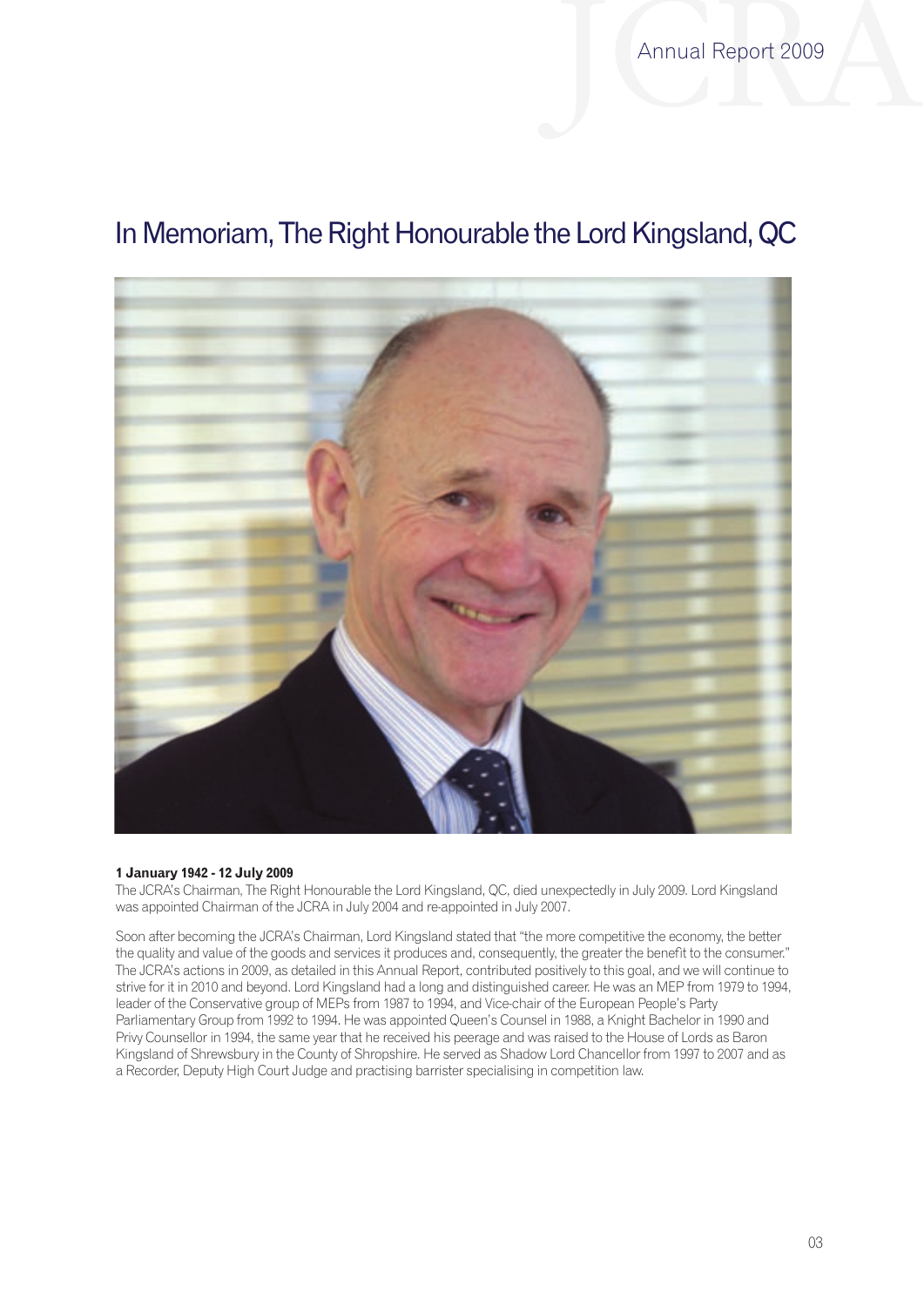Annual Report 2009

# In Memoriam, The Right Honourable the Lord Kingsland, QC



## **1 January 1942 - 12 July 2009**

The JCRA's Chairman, The Right Honourable the Lord Kingsland, QC, died unexpectedly in July 2009. Lord Kingsland was appointed Chairman of the JCRA in July 2004 and re-appointed in July 2007.

Soon after becoming the JCRA's Chairman, Lord Kingsland stated that "the more competitive the economy, the better the quality and value of the goods and services it produces and, consequently, the greater the benefit to the consumer." The JCRA's actions in 2009, as detailed in this Annual Report, contributed positively to this goal, and we will continue to strive for it in 2010 and beyond. Lord Kingsland had a long and distinguished career. He was an MEP from 1979 to 1994, leader of the Conservative group of MEPs from 1987 to 1994, and Vice-chair of the European People's Party Parliamentary Group from 1992 to 1994. He was appointed Queen's Counsel in 1988, a Knight Bachelor in 1990 and Privy Counsellor in 1994, the same year that he received his peerage and was raised to the House of Lords as Baron Kingsland of Shrewsbury in the County of Shropshire. He served as Shadow Lord Chancellor from 1997 to 2007 and as a Recorder, Deputy High Court Judge and practising barrister specialising in competition law.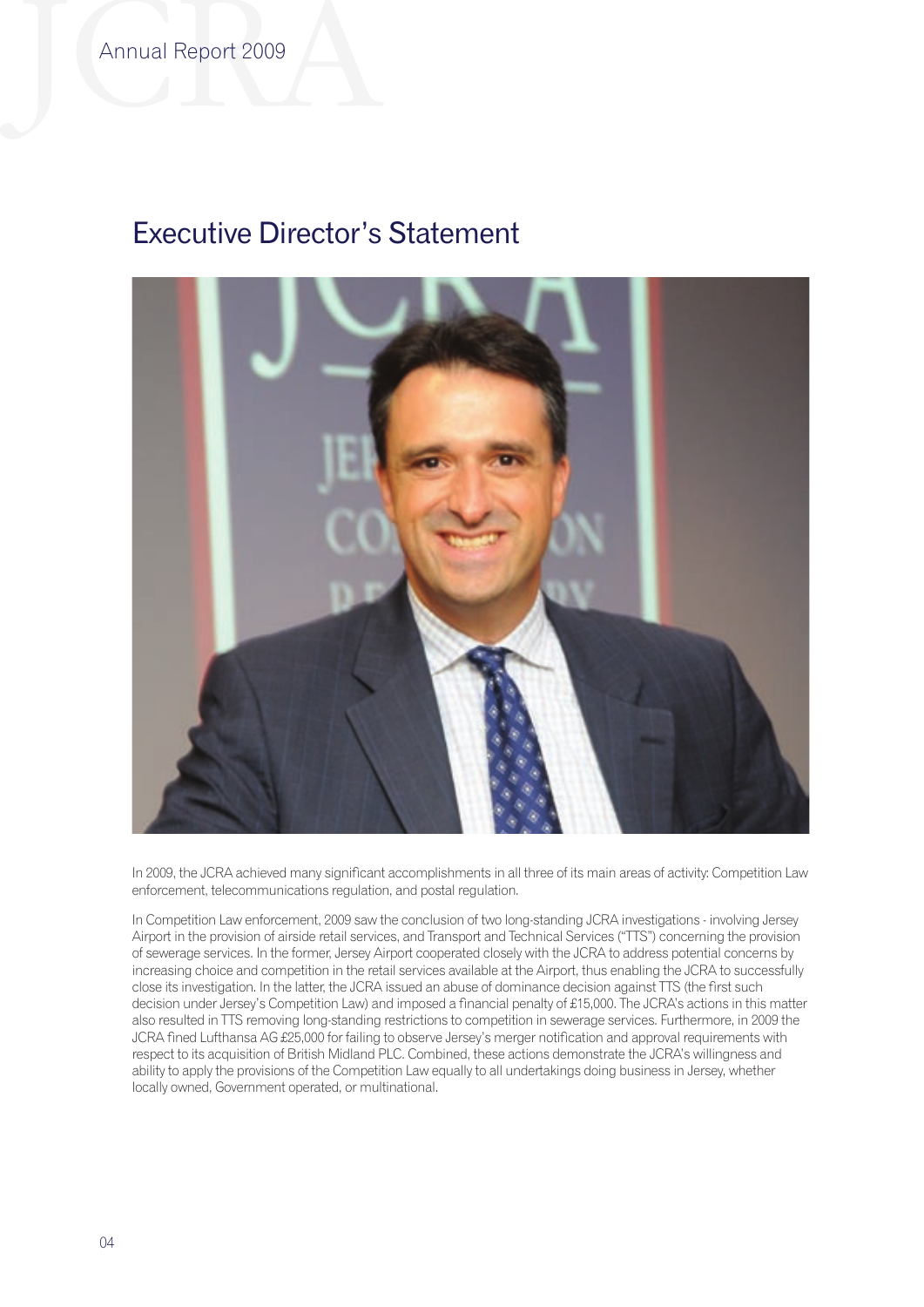# Executive Director's Statement



In 2009, the JCRA achieved many significant accomplishments in all three of its main areas of activity: Competition Law enforcement, telecommunications regulation, and postal regulation.

In Competition Law enforcement, 2009 saw the conclusion of two long-standing JCRA investigations - involving Jersey Airport in the provision of airside retail services, and Transport and Technical Services ("TTS") concerning the provision of sewerage services. In the former, Jersey Airport cooperated closely with the JCRA to address potential concerns by increasing choice and competition in the retail services available at the Airport, thus enabling the JCRA to successfully close its investigation. In the latter, the JCRA issued an abuse of dominance decision against TTS (the first such decision under Jersey's Competition Law) and imposed a financial penalty of £15,000. The JCRA's actions in this matter also resulted in TTS removing long-standing restrictions to competition in sewerage services. Furthermore, in 2009 the JCRA fined Lufthansa AG £25,000 for failing to observe Jersey's merger notification and approval requirements with respect to its acquisition of British Midland PLC. Combined, these actions demonstrate the JCRA's willingness and ability to apply the provisions of the Competition Law equally to all undertakings doing business in Jersey, whether locally owned, Government operated, or multinational.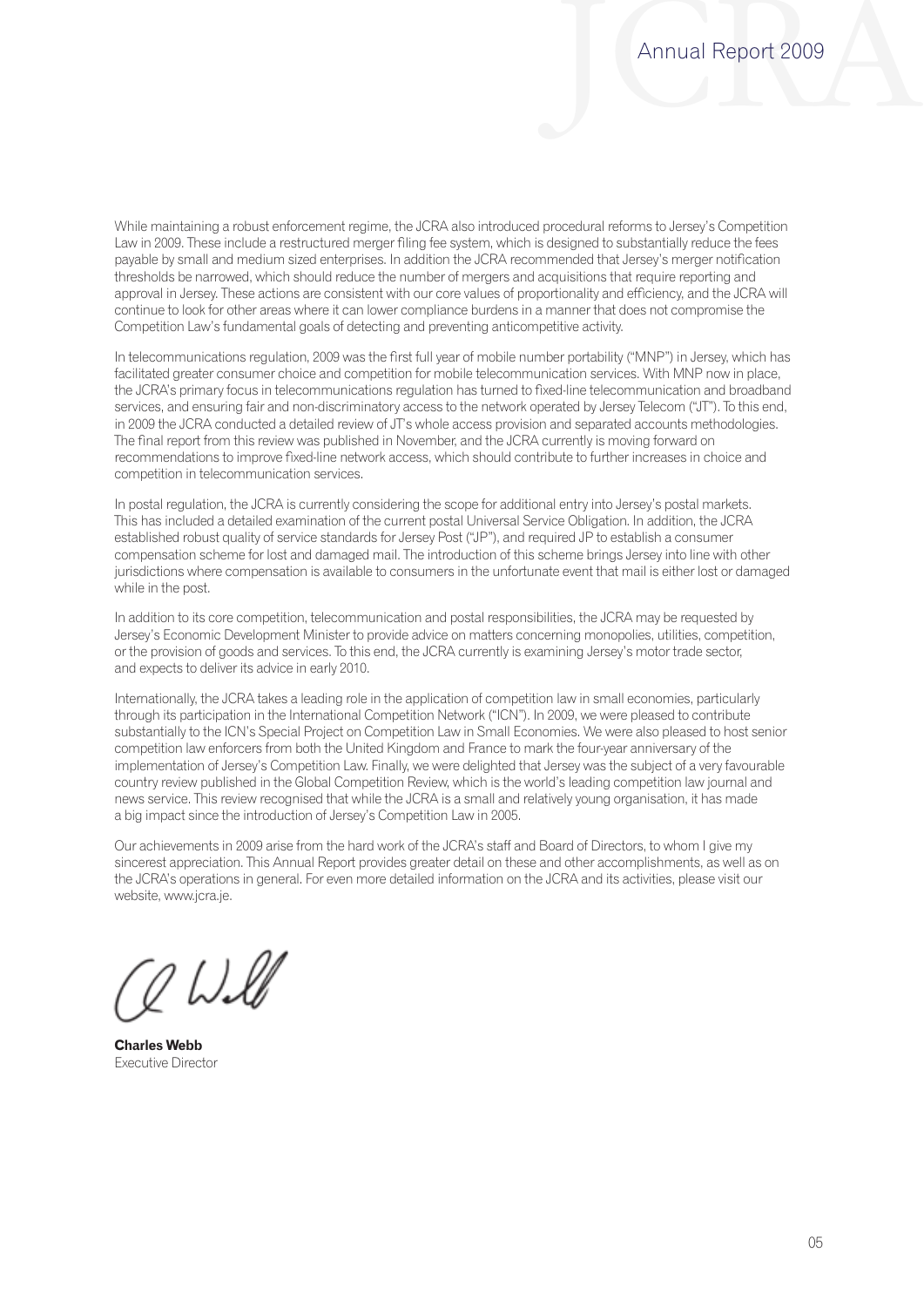While maintaining a robust enforcement regime, the JCRA also introduced procedural reforms to Jersey's Competition Law in 2009. These include a restructured merger filing fee system, which is designed to substantially reduce the fees payable by small and medium sized enterprises. In addition the JCRA recommended that Jersey's merger notification thresholds be narrowed, which should reduce the number of mergers and acquisitions that require reporting and approval in Jersey. These actions are consistent with our core values of proportionality and efficiency, and the JCRA will continue to look for other areas where it can lower compliance burdens in a manner that does not compromise the Competition Law's fundamental goals of detecting and preventing anticompetitive activity.

rne marreport nom this review was published in November, and the JCKA currently is moving forward on<br>recommendations to improve fixed-line network access, which should contribute to further increases in choice and In telecommunications regulation, 2009 was the first full year of mobile number portability ("MNP") in Jersey, which has facilitated greater consumer choice and competition for mobile telecommunication services. With MNP now in place, the JCRA's primary focus in telecommunications regulation has turned to fixed-line telecommunication and broadband services, and ensuring fair and non-discriminatory access to the network operated by Jersey Telecom ("JT"). To this end, in 2009 the JCRA conducted a detailed review of JT's whole access provision and separated accounts methodologies. The final report from this review was published in November, and the JCRA currently is moving forward on competition in telecommunication services.

while in the post. In postal regulation, the JCRA is currently considering the scope for additional entry into Jersey's postal markets. This has included a detailed examination of the current postal Universal Service Obligation. In addition, the JCRA established robust quality of service standards for Jersey Post ("JP"), and required JP to establish a consumer compensation scheme for lost and damaged mail. The introduction of this scheme brings Jersey into line with other jurisdictions where compensation is available to consumers in the unfortunate event that mail is either lost or damaged

In addition to its core competition, telecommunication and postal responsibilities, the JCRA may be requested by Jersey's Economic Development Minister to provide advice on matters concerning monopolies, utilities, competition, or the provision of goods and services. To this end, the JCRA currently is examining Jersey's motor trade sector, and expects to deliver its advice in early 2010.

Internationally, the JCRA takes a leading role in the application of competition law in small economies, particularly through its participation in the International Competition Network ("ICN"). In 2009, we were pleased to contribute substantially to the ICN's Special Project on Competition Law in Small Economies. We were also pleased to host senior competition law enforcers from both the United Kingdom and France to mark the four-year anniversary of the implementation of Jersey's Competition Law. Finally, we were delighted that Jersey was the subject of a very favourable country review published in the Global Competition Review, which is the world's leading competition law journal and news service. This review recognised that while the JCRA is a small and relatively young organisation, it has made a big impact since the introduction of Jersey's Competition Law in 2005.

Our achievements in 2009 arise from the hard work of the JCRA's staff and Board of Directors, to whom I give my sincerest appreciation. This Annual Report provides greater detail on these and other accomplishments, as well as on the JCRA's operations in general. For even more detailed information on the JCRA and its activities, please visit our website, www.jcra.je.

0 Will

**Charles Webb** Executive Director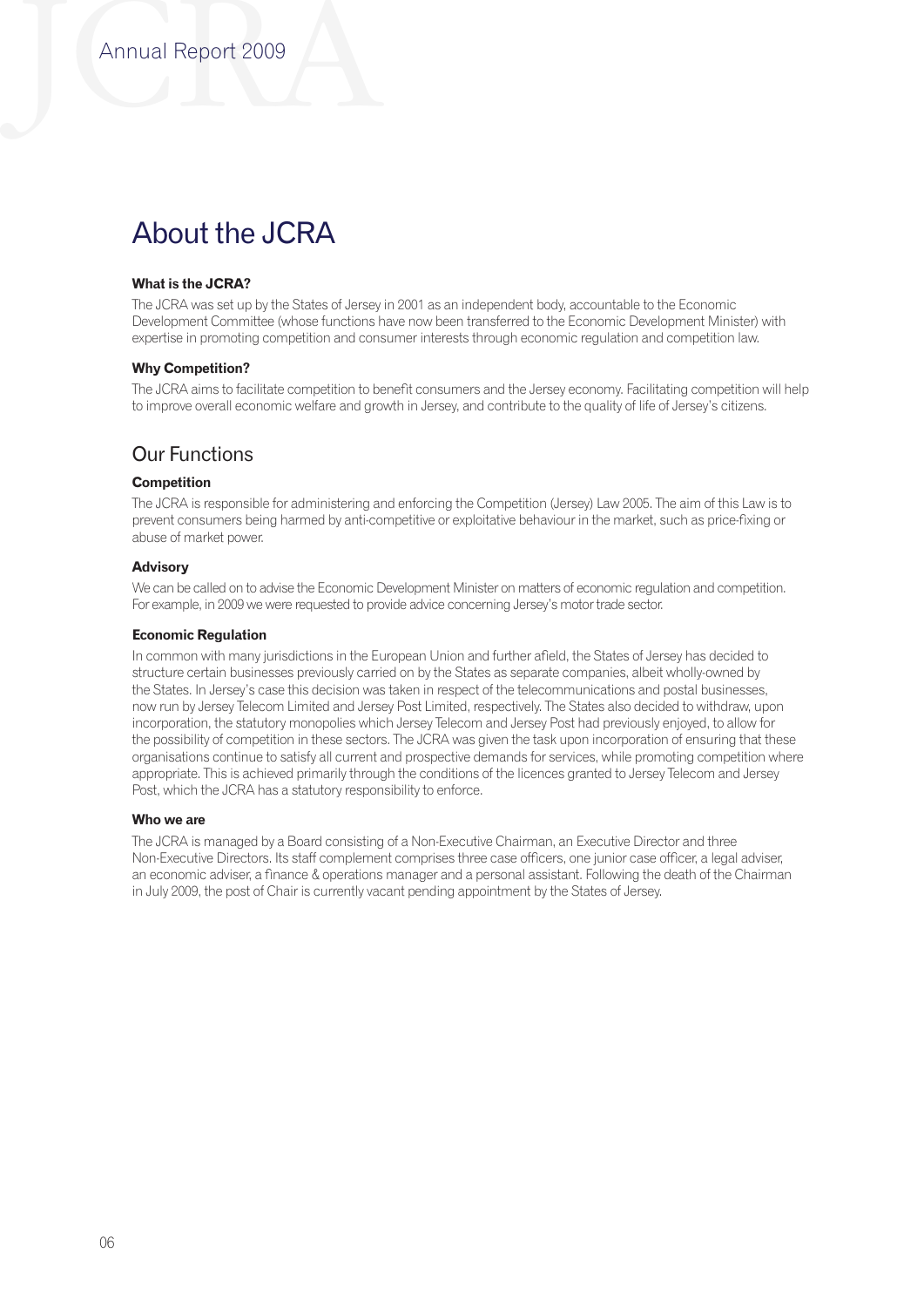# About the JCRA

## **What is the JCRA?**

The JCRA was set up by the States of Jersey in 2001 as an independent body, accountable to the Economic Development Committee (whose functions have now been transferred to the Economic Development Minister) with expertise in promoting competition and consumer interests through economic regulation and competition law.

#### **Why Competition?**

The JCRA aims to facilitate competition to benefit consumers and the Jersey economy. Facilitating competition will help to improve overall economic welfare and growth in Jersey, and contribute to the quality of life of Jersey's citizens.

## Our Functions

## **Competition**

The JCRA is responsible for administering and enforcing the Competition (Jersey) Law 2005. The aim of this Law is to prevent consumers being harmed by anti-competitive or exploitative behaviour in the market, such as price-fixing or abuse of market power.

#### **Advisory**

We can be called on to advise the Economic Development Minister on matters of economic regulation and competition. For example, in 2009 we were requested to provide advice concerning Jersey's motor trade sector.

#### **Economic Regulation**

In common with many jurisdictions in the European Union and further afield, the States of Jersey has decided to structure certain businesses previously carried on by the States as separate companies, albeit wholly-owned by the States. In Jersey's case this decision was taken in respect of the telecommunications and postal businesses, now run by Jersey Telecom Limited and Jersey Post Limited, respectively. The States also decided to withdraw, upon incorporation, the statutory monopolies which Jersey Telecom and Jersey Post had previously enjoyed, to allow for the possibility of competition in these sectors. The JCRA was given the task upon incorporation of ensuring that these organisations continue to satisfy all current and prospective demands for services, while promoting competition where appropriate. This is achieved primarily through the conditions of the licences granted to Jersey Telecom and Jersey Post, which the JCRA has a statutory responsibility to enforce.

#### **Who we are**

The JCRA is managed by a Board consisting of a Non-Executive Chairman, an Executive Director and three Non-Executive Directors. Its staff complement comprises three case officers, one junior case officer, a legal adviser, an economic adviser, a finance & operations manager and a personal assistant. Following the death of the Chairman in July 2009, the post of Chair is currently vacant pending appointment by the States of Jersey.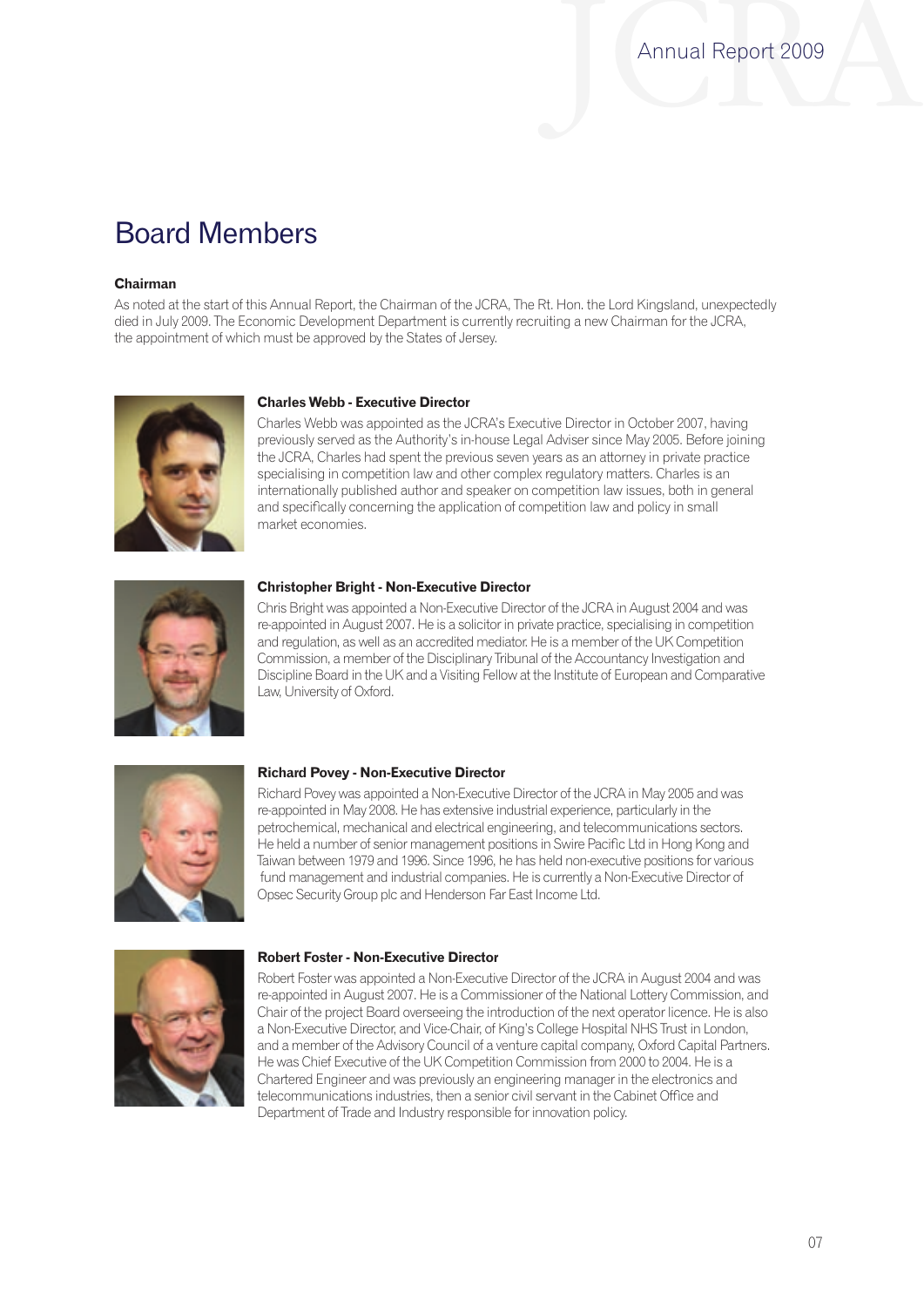# Board Members

## **Chairman**

As noted at the start of this Annual Report, the Chairman of the JCRA, The Rt. Hon. the Lord Kingsland, unexpectedly died in July 2009. The Economic Development Department is currently recruiting a new Chairman for the JCRA, the appointment of which must be approved by the States of Jersey.



## **Charles Webb - Executive Director**

Charles Webb was appointed as the JCRA's Executive Director in October 2007, having previously served as the Authority's in-house Legal Adviser since May 2005. Before joining the JCRA, Charles had spent the previous seven years as an attorney in private practice specialising in competition law and other complex regulatory matters. Charles is an internationally published author and speaker on competition law issues, both in general and specifically concerning the application of competition law and policy in small market economies.



#### **Christopher Bright - Non-Executive Director**

Chris Bright was appointed a Non-Executive Director of the JCRA in August 2004 and was re-appointed in August 2007. He is a solicitor in private practice, specialising in competition and regulation, as well as an accredited mediator. He is a member of the UK Competition Commission, a member of the Disciplinary Tribunal of the Accountancy Investigation and Discipline Board in the UK and a Visiting Fellow at the Institute of European and Comparative Law, University of Oxford.



#### **Richard Povey - Non-Executive Director**

Richard Povey was appointed a Non-Executive Director of the JCRA in May 2005 and was re-appointed in May 2008. He has extensive industrial experience, particularly in the petrochemical, mechanical and electrical engineering, and telecommunications sectors. He held a number of senior management positions in Swire Pacific Ltd in Hong Kong and Taiwan between 1979 and 1996. Since 1996, he has held non-executive positions for various fund management and industrial companies. He is currently a Non-Executive Director of Opsec Security Group plc and Henderson Far East Income Ltd.



#### **Robert Foster - Non-Executive Director**

Robert Foster was appointed a Non-Executive Director of the JCRA in August 2004 and was re-appointed in August 2007. He is a Commissioner of the National Lottery Commission, and Chair of the project Board overseeing the introduction of the next operator licence. He is also a Non-Executive Director, and Vice-Chair, of King's College Hospital NHS Trust in London, and a member of the Advisory Council of a venture capital company, Oxford Capital Partners. He was Chief Executive of the UK Competition Commission from 2000 to 2004. He is a Chartered Engineer and was previously an engineering manager in the electronics and telecommunications industries, then a senior civil servant in the Cabinet Office and Department of Trade and Industry responsible for innovation policy.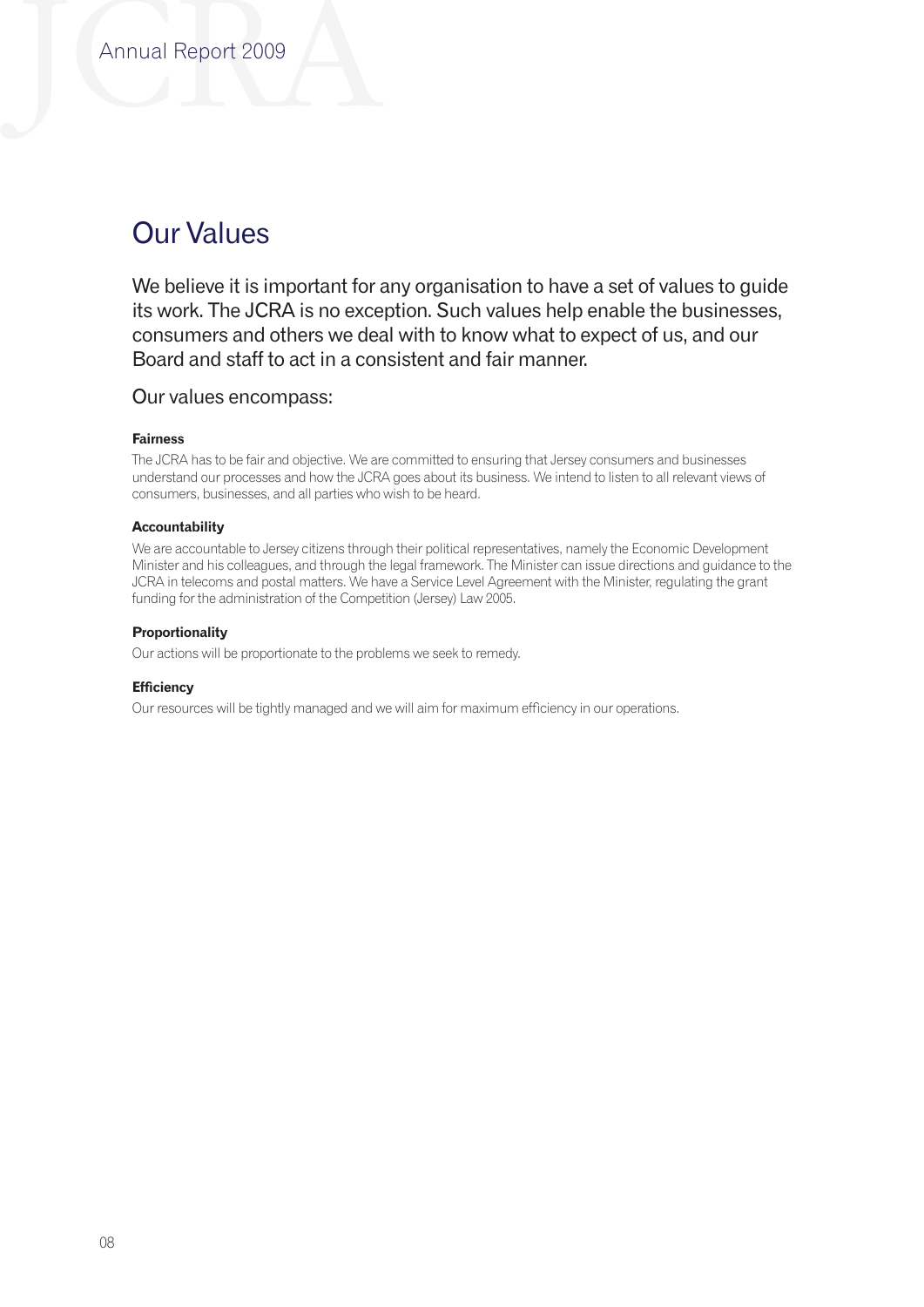# Our Values

We believe it is important for any organisation to have a set of values to guide its work. The JCRA is no exception. Such values help enable the businesses, consumers and others we deal with to know what to expect of us, and our Board and staff to act in a consistent and fair manner.

## Our values encompass:

## **Fairness**

The JCRA has to be fair and objective. We are committed to ensuring that Jersey consumers and businesses understand our processes and how the JCRA goes about its business. We intend to listen to all relevant views of consumers, businesses, and all parties who wish to be heard.

## **Accountability**

We are accountable to Jersey citizens through their political representatives, namely the Economic Development Minister and his colleagues, and through the legal framework. The Minister can issue directions and guidance to the JCRA in telecoms and postal matters. We have a Service Level Agreement with the Minister, regulating the grant funding for the administration of the Competition (Jersey) Law 2005.

## **Proportionality**

Our actions will be proportionate to the problems we seek to remedy.

## **Efficiency**

Our resources will be tightly managed and we will aim for maximum efficiency in our operations.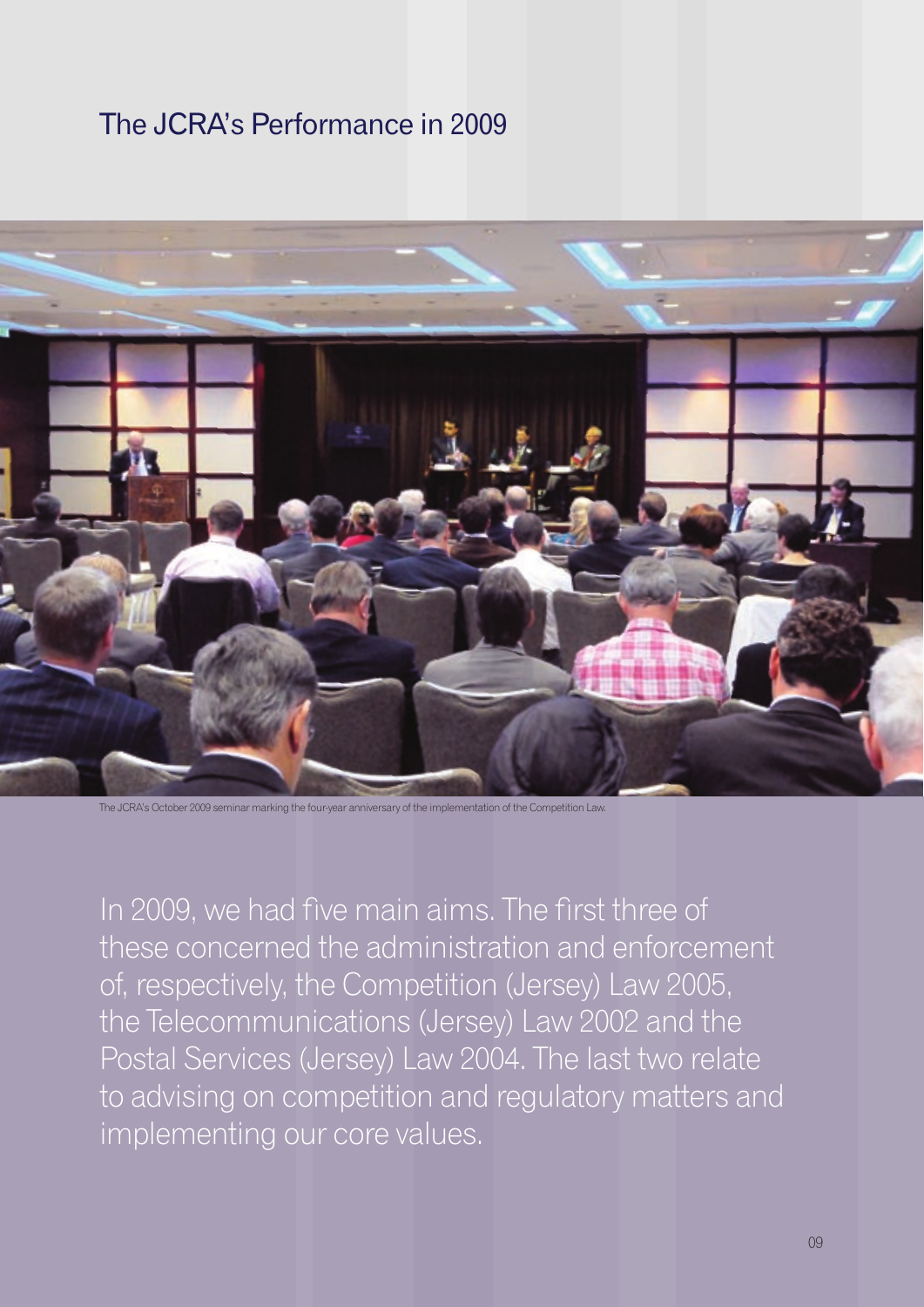# The JCRA's Performance in 2009



The JCRA's October 2009 seminar marking the four-year anniversary of the implementation of the Competition Law.

In 2009, we had five main aims. The first three of these concerned the administration and enforcement of, respectively, the Competition (Jersey) Law 2005, the Telecommunications (Jersey) Law 2002 and the Postal Services (Jersey) Law 2004. The last two relate to advising on competition and regulatory matters and implementing our core values.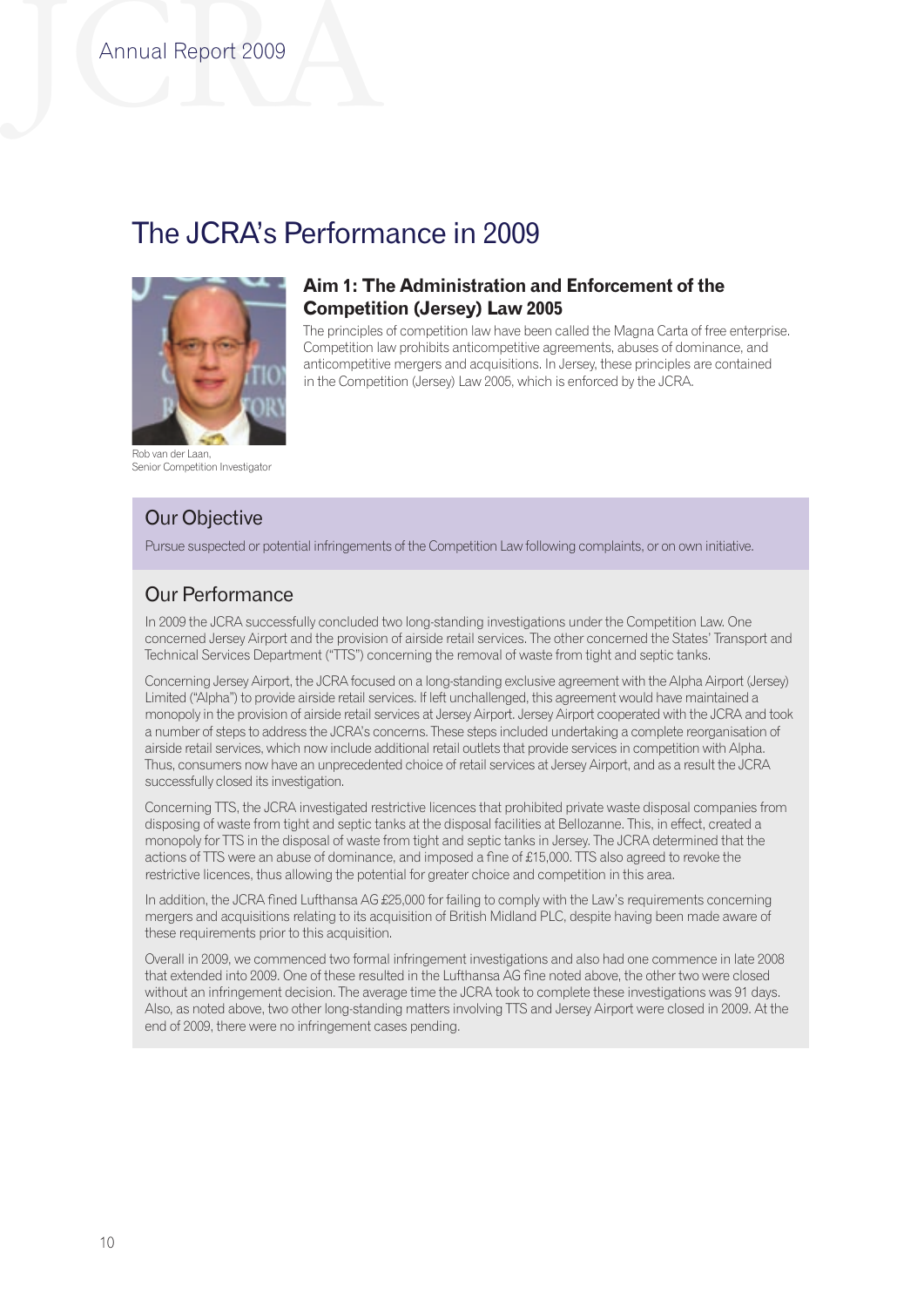## The JCRA's Performance in 2009



Rob van der Laan, Senior Competition Investigator

## Our Objective

Our Performance

Pursue suspected or potential infringements of the Competition Law following complaints, or on own initiative.

**Competition (Jersey) Law 2005**

## Our Performance

In 2009 the JCRA successfully concluded two long-standing investigations under the Competition Law. One concerned Jersey Airport and the provision of airside retail services. The other concerned the States' Transport and Technical Services Department ("TTS") concerning the removal of waste from tight and septic tanks.

**Aim 1: The Administration and Enforcement of the** 

in the Competition (Jersey) Law 2005, which is enforced by the JCRA.

The principles of competition law have been called the Magna Carta of free enterprise. Competition law prohibits anticompetitive agreements, abuses of dominance, and anticompetitive mergers and acquisitions. In Jersey, these principles are contained

Concerning Jersey Airport, the JCRA focused on a long-standing exclusive agreement with the Alpha Airport (Jersey) Limited ("Alpha") to provide airside retail services. If left unchallenged, this agreement would have maintained a monopoly in the provision of airside retail services at Jersey Airport. Jersey Airport cooperated with the JCRA and took a number of steps to address the JCRA's concerns. These steps included undertaking a complete reorganisation of airside retail services, which now include additional retail outlets that provide services in competition with Alpha. Thus, consumers now have an unprecedented choice of retail services at Jersey Airport, and as a result the JCRA successfully closed its investigation.

Concerning TTS, the JCRA investigated restrictive licences that prohibited private waste disposal companies from disposing of waste from tight and septic tanks at the disposal facilities at Bellozanne. This, in effect, created a monopoly for TTS in the disposal of waste from tight and septic tanks in Jersey. The JCRA determined that the actions of TTS were an abuse of dominance, and imposed a fine of £15,000. TTS also agreed to revoke the restrictive licences, thus allowing the potential for greater choice and competition in this area.

In addition, the JCRA fined Lufthansa AG £25,000 for failing to comply with the Law's requirements concerning mergers and acquisitions relating to its acquisition of British Midland PLC, despite having been made aware of these requirements prior to this acquisition.

Overall in 2009, we commenced two formal infringement investigations and also had one commence in late 2008 that extended into 2009. One of these resulted in the Lufthansa AG fine noted above, the other two were closed without an infringement decision. The average time the JCRA took to complete these investigations was 91 days. Also, as noted above, two other long-standing matters involving TTS and Jersey Airport were closed in 2009. At the end of 2009, there were no infringement cases pending.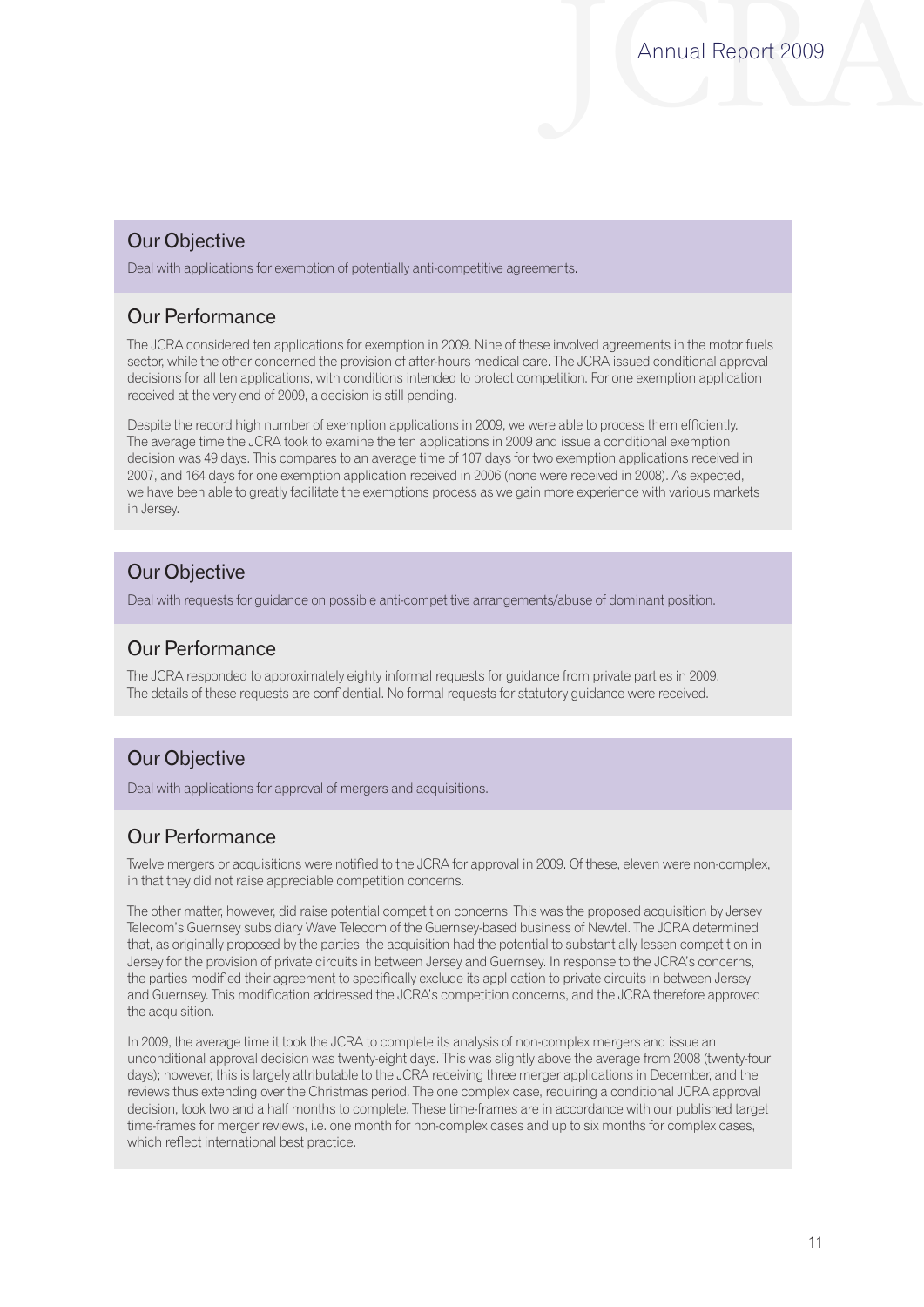## Our Objective

Deal with applications for exemption of potentially anti-competitive agreements.

## Our Performance

The JCRA considered ten applications for exemption in 2009. Nine of these involved agreements in the motor fuels sector, while the other concerned the provision of after-hours medical care. The JCRA issued conditional approval decisions for all ten applications, with conditions intended to protect competition. For one exemption application received at the very end of 2009, a decision is still pending.

Despite the record high number of exemption applications in 2009, we were able to process them efficiently. The average time the JCRA took to examine the ten applications in 2009 and issue a conditional exemption decision was 49 days. This compares to an average time of 107 days for two exemption applications received in 2007, and 164 days for one exemption application received in 2006 (none were received in 2008). As expected, we have been able to greatly facilitate the exemptions process as we gain more experience with various markets in Jersey.

## Our Objective

Deal with requests for guidance on possible anti-competitive arrangements/abuse of dominant position.

## Our Performance

The JCRA responded to approximately eighty informal requests for guidance from private parties in 2009. The details of these requests are confidential. No formal requests for statutory guidance were received.

## Our Objective

Deal with applications for approval of mergers and acquisitions.

## Our Performance

Twelve mergers or acquisitions were notified to the JCRA for approval in 2009. Of these, eleven were non-complex, in that they did not raise appreciable competition concerns.

The other matter, however, did raise potential competition concerns. This was the proposed acquisition by Jersey Telecom's Guernsey subsidiary Wave Telecom of the Guernsey-based business of Newtel. The JCRA determined that, as originally proposed by the parties, the acquisition had the potential to substantially lessen competition in Jersey for the provision of private circuits in between Jersey and Guernsey. In response to the JCRA's concerns, the parties modified their agreement to specifically exclude its application to private circuits in between Jersey and Guernsey. This modification addressed the JCRA's competition concerns, and the JCRA therefore approved the acquisition.

In 2009, the average time it took the JCRA to complete its analysis of non-complex mergers and issue an unconditional approval decision was twenty-eight days. This was slightly above the average from 2008 (twenty-four days); however, this is largely attributable to the JCRA receiving three merger applications in December, and the reviews thus extending over the Christmas period. The one complex case, requiring a conditional JCRA approval decision, took two and a half months to complete. These time-frames are in accordance with our published target time-frames for merger reviews, i.e. one month for non-complex cases and up to six months for complex cases, which reflect international best practice.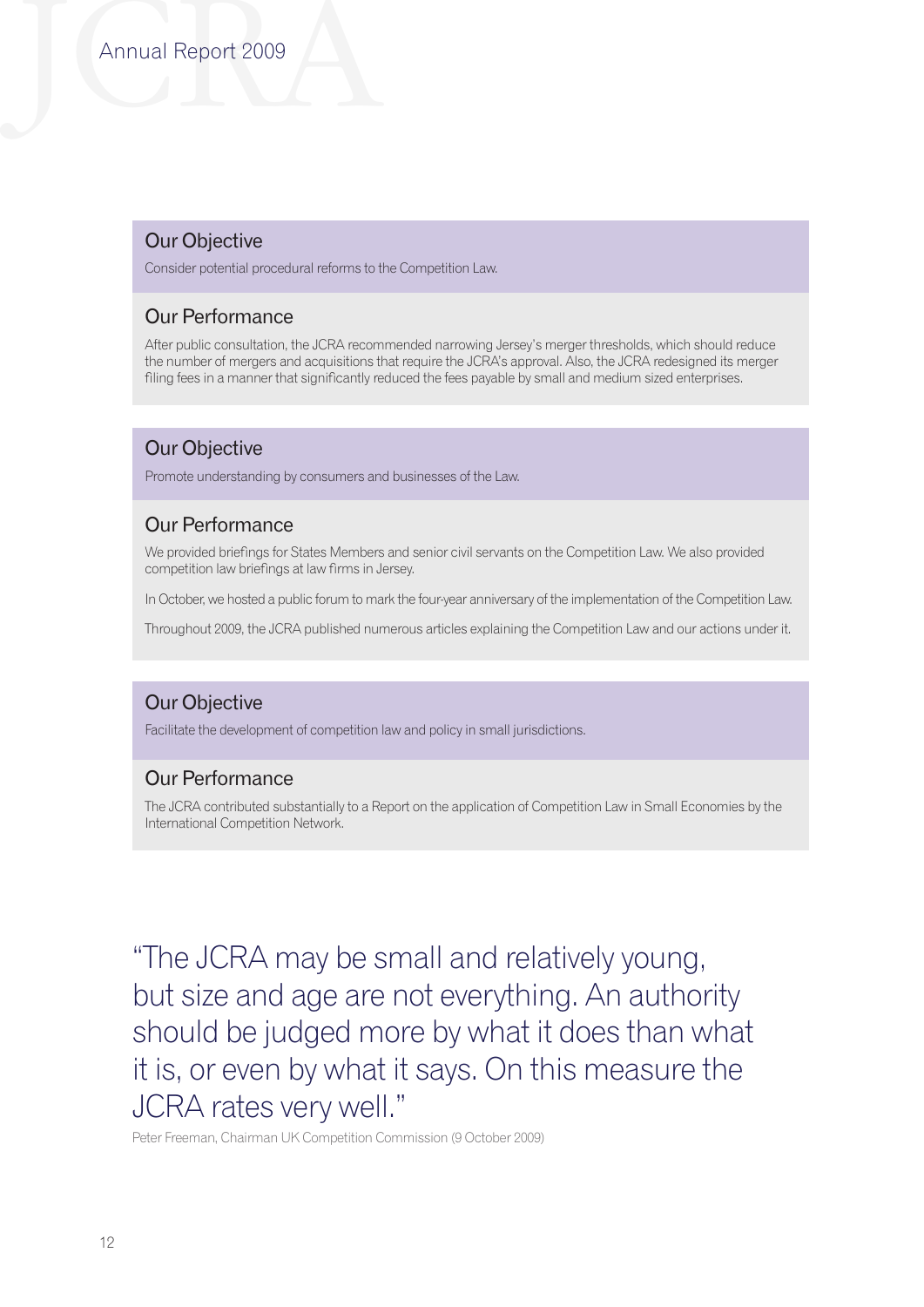## Our Objective

Consider potential procedural reforms to the Competition Law.

## Our Performance

After public consultation, the JCRA recommended narrowing Jersey's merger thresholds, which should reduce the number of mergers and acquisitions that require the JCRA's approval. Also, the JCRA redesigned its merger filing fees in a manner that significantly reduced the fees payable by small and medium sized enterprises.

## Our Objective

Promote understanding by consumers and businesses of the Law.

## Our Performance

We provided briefings for States Members and senior civil servants on the Competition Law. We also provided competition law briefings at law firms in Jersey.

In October, we hosted a public forum to mark the four-year anniversary of the implementation of the Competition Law.

Throughout 2009, the JCRA published numerous articles explaining the Competition Law and our actions under it.

## Our Objective

Facilitate the development of competition law and policy in small jurisdictions.

## Our Performance

The JCRA contributed substantially to a Report on the application of Competition Law in Small Economies by the International Competition Network.

"The JCRA may be small and relatively young, but size and age are not everything. An authority should be judged more by what it does than what it is, or even by what it says. On this measure the JCRA rates very well."

Peter Freeman, Chairman UK Competition Commission (9 October 2009)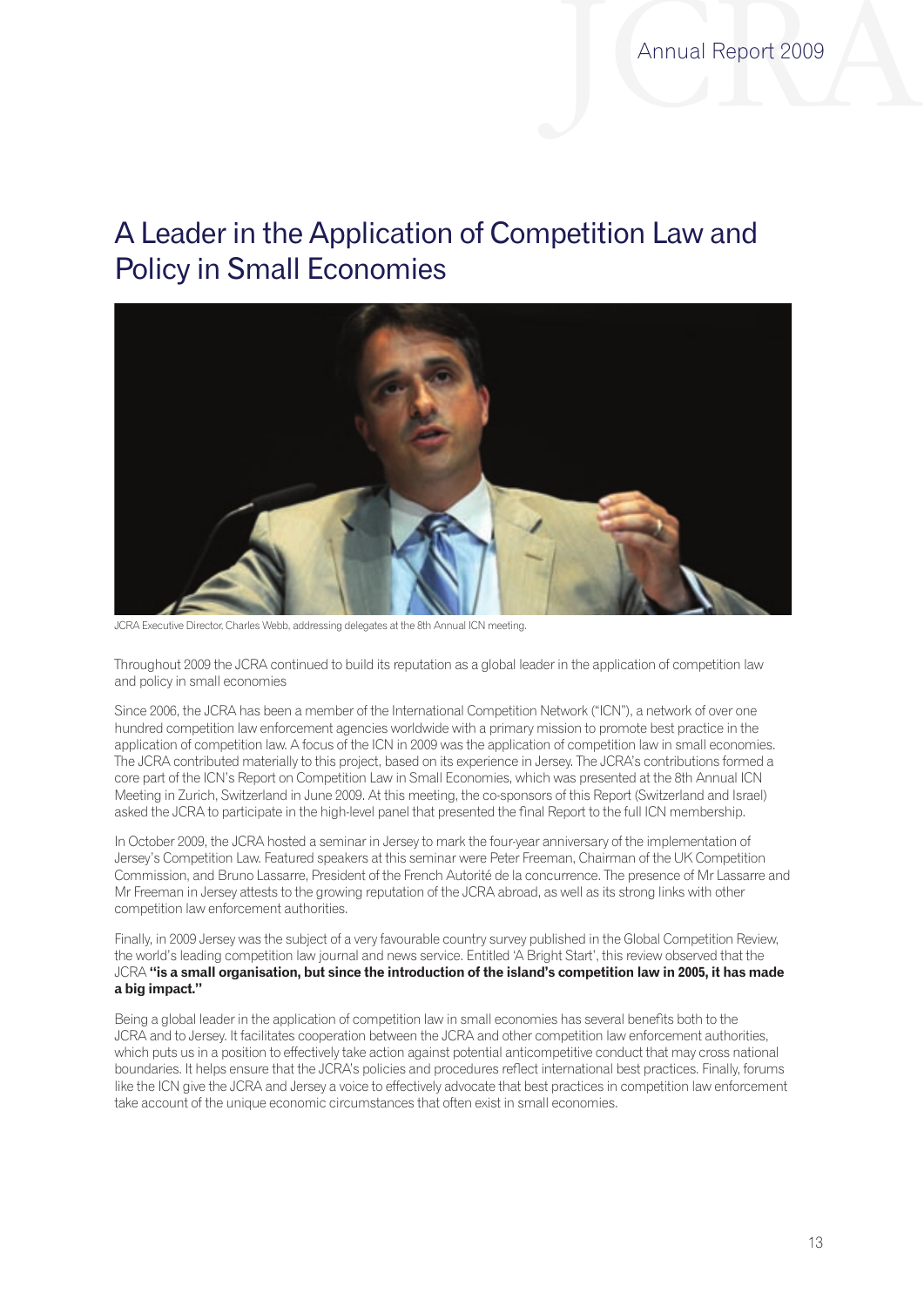# A Leader in the Application of Competition Law and Policy in Small Economies



JCRA Executive Director, Charles Webb, addressing delegates at the 8th Annual ICN meeting.

Throughout 2009 the JCRA continued to build its reputation as a global leader in the application of competition law and policy in small economies

Since 2006, the JCRA has been a member of the International Competition Network ("ICN"), a network of over one hundred competition law enforcement agencies worldwide with a primary mission to promote best practice in the application of competition law. A focus of the ICN in 2009 was the application of competition law in small economies. The JCRA contributed materially to this project, based on its experience in Jersey. The JCRA's contributions formed a core part of the ICN's Report on Competition Law in Small Economies, which was presented at the 8th Annual ICN Meeting in Zurich, Switzerland in June 2009. At this meeting, the co-sponsors of this Report (Switzerland and Israel) asked the JCRA to participate in the high-level panel that presented the final Report to the full ICN membership.

In October 2009, the JCRA hosted a seminar in Jersey to mark the four-year anniversary of the implementation of Jersey's Competition Law. Featured speakers at this seminar were Peter Freeman, Chairman of the UK Competition Commission, and Bruno Lassarre, President of the French Autorité de la concurrence. The presence of Mr Lassarre and Mr Freeman in Jersey attests to the growing reputation of the JCRA abroad, as well as its strong links with other competition law enforcement authorities.

Finally, in 2009 Jersey was the subject of a very favourable country survey published in the Global Competition Review, the world's leading competition law journal and news service. Entitled 'A Bright Start', this review observed that the JCRA **"is a small organisation, but since the introduction of the island's competition law in 2005, it has made a big impact."**

Being a global leader in the application of competition law in small economies has several benefits both to the JCRA and to Jersey. It facilitates cooperation between the JCRA and other competition law enforcement authorities, which puts us in a position to effectively take action against potential anticompetitive conduct that may cross national boundaries. It helps ensure that the JCRA's policies and procedures reflect international best practices. Finally, forums like the ICN give the JCRA and Jersey a voice to effectively advocate that best practices in competition law enforcement take account of the unique economic circumstances that often exist in small economies.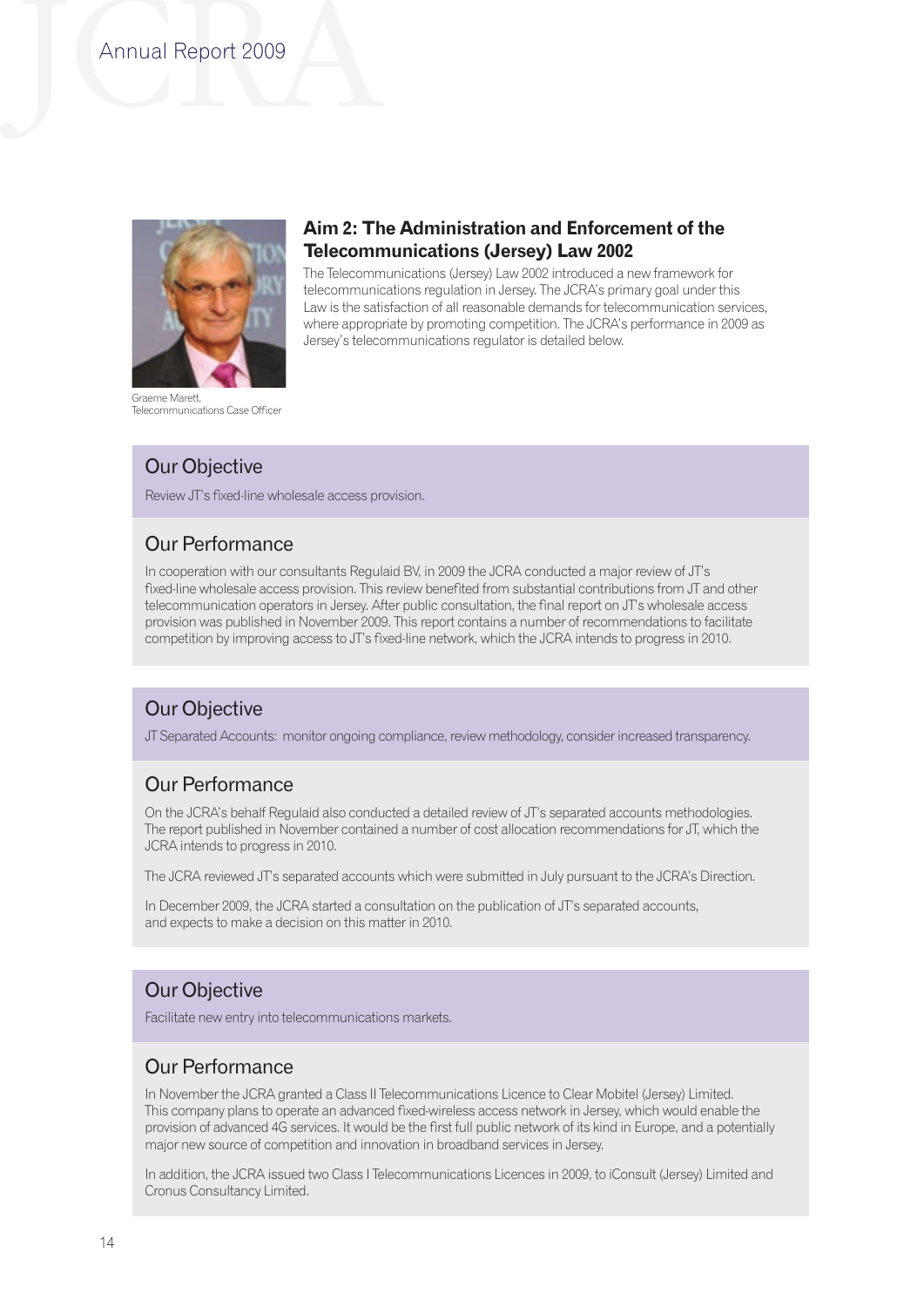

Graeme Marett, Telecommunications Case Officer

## **Aim 2: The Administration and Enforcement of the Telecommunications (Jersey) Law 2002**

The Telecommunications (Jersey) Law 2002 introduced a new framework for telecommunications regulation in Jersey. The JCRA's primary goal under this Law is the satisfaction of all reasonable demands for telecommunication services, where appropriate by promoting competition. The JCRA's performance in 2009 as Jersey's telecommunications regulator is detailed below.

## Our Objective

Review JT's fixed-line wholesale access provision.

## Our Performance

In cooperation with our consultants Regulaid BV, in 2009 the JCRA conducted a major review of JT's fixed-line wholesale access provision. This review benefited from substantial contributions from JT and other telecommunication operators in Jersey. After public consultation, the final report on JT's wholesale access provision was published in November 2009. This report contains a number of recommendations to facilitate competition by improving access to JT's fixed-line network, which the JCRA intends to progress in 2010.

## Our Objective

JT Separated Accounts: monitor ongoing compliance, review methodology, consider increased transparency.

## Our Performance

On the JCRA's behalf Regulaid also conducted a detailed review of JT's separated accounts methodologies. The report published in November contained a number of cost allocation recommendations for JT, which the JCRA intends to progress in 2010.

The JCRA reviewed JT's separated accounts which were submitted in July pursuant to the JCRA's Direction.

In December 2009, the JCRA started a consultation on the publication of JT's separated accounts, and expects to make a decision on this matter in 2010.

## Our Objective

Facilitate new entry into telecommunications markets.

## Our Performance

In November the JCRA granted a Class II Telecommunications Licence to Clear Mobitel (Jersey) Limited. This company plans to operate an advanced fixed-wireless access network in Jersey, which would enable the provision of advanced 4G services. It would be the first full public network of its kind in Europe, and a potentially major new source of competition and innovation in broadband services in Jersey.

In addition, the JCRA issued two Class I Telecommunications Licences in 2009, to iConsult (Jersey) Limited and Cronus Consultancy Limited.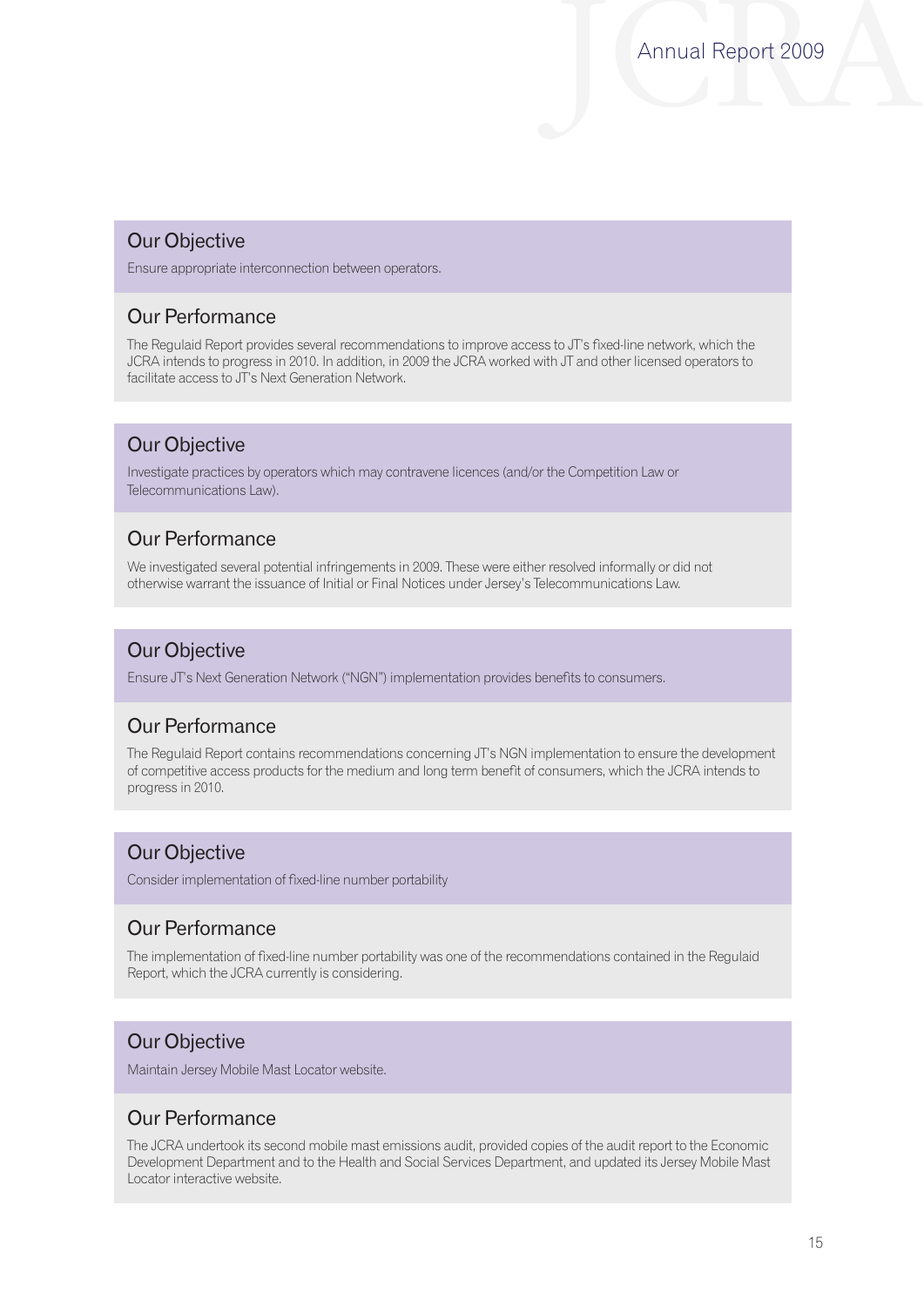## Our Objective

Ensure appropriate interconnection between operators.

## Our Performance

The Regulaid Report provides several recommendations to improve access to JT's fixed-line network, which the JCRA intends to progress in 2010. In addition, in 2009 the JCRA worked with JT and other licensed operators to facilitate access to JT's Next Generation Network.

## Our Objective

Investigate practices by operators which may contravene licences (and/or the Competition Law or Telecommunications Law).

## Our Performance

We investigated several potential infringements in 2009. These were either resolved informally or did not otherwise warrant the issuance of Initial or Final Notices under Jersey's Telecommunications Law.

## Our Objective

Ensure JT's Next Generation Network ("NGN") implementation provides benefits to consumers.

## Our Performance

The Regulaid Report contains recommendations concerning JT's NGN implementation to ensure the development of competitive access products for the medium and long term benefit of consumers, which the JCRA intends to progress in 2010.

## Our Objective

Consider implementation of fixed-line number portability

## Our Performance

The implementation of fixed-line number portability was one of the recommendations contained in the Regulaid Report, which the JCRA currently is considering.

## Our Objective

Maintain Jersey Mobile Mast Locator website.

## Our Performance

The JCRA undertook its second mobile mast emissions audit, provided copies of the audit report to the Economic Development Department and to the Health and Social Services Department, and updated its Jersey Mobile Mast Locator interactive website.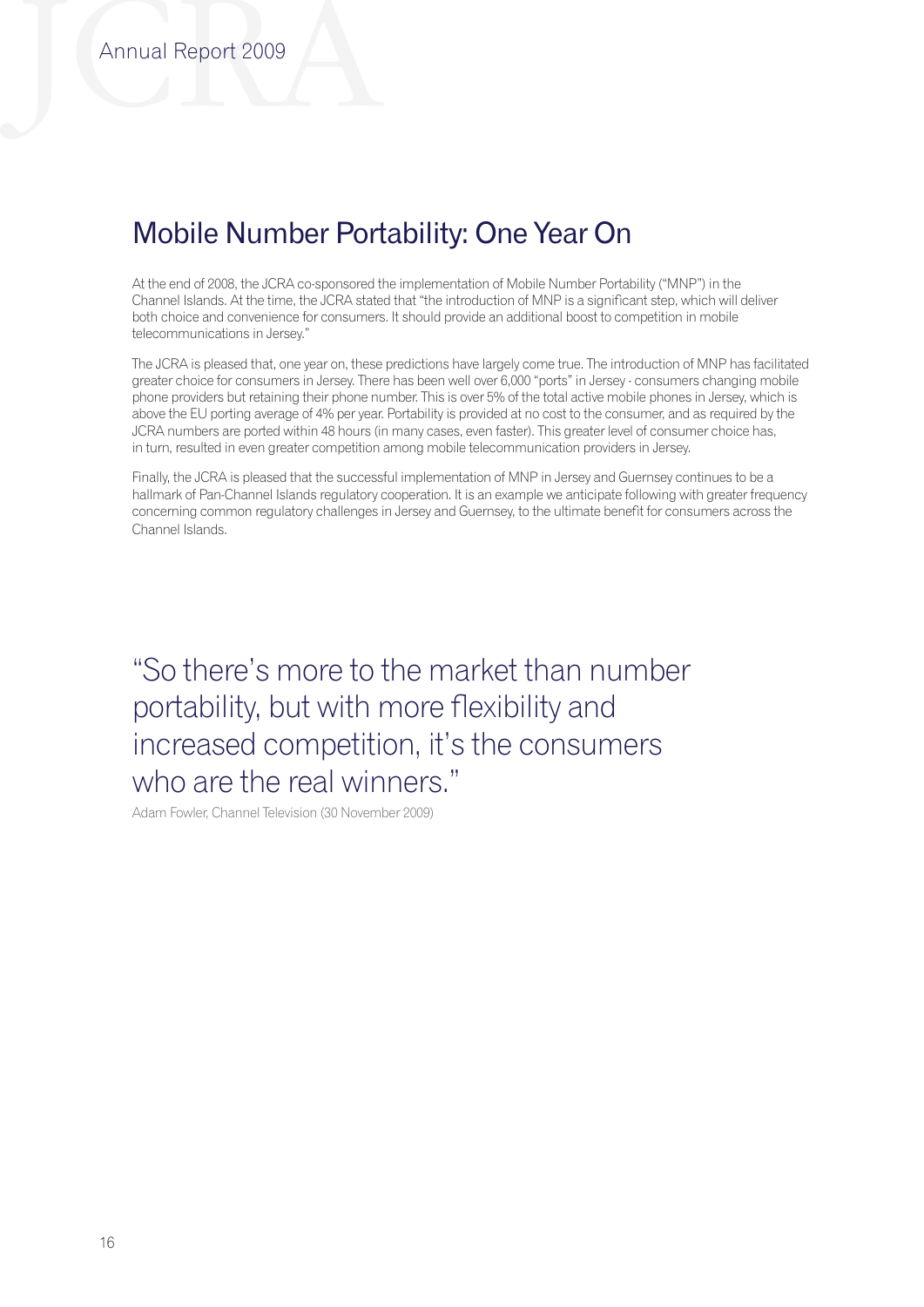# Mobile Number Portability: One Year On

At the end of 2008, the JCRA co-sponsored the implementation of Mobile Number Portability ("MNP") in the Channel Islands. At the time, the JCRA stated that "the introduction of MNP is a significant step, which will deliver both choice and convenience for consumers. It should provide an additional boost to competition in mobile telecommunications in Jersey."

The JCRA is pleased that, one year on, these predictions have largely come true. The introduction of MNP has facilitated greater choice for consumers in Jersey. There has been well over 6,000 "ports" in Jersey - consumers changing mobile phone providers but retaining their phone number. This is over 5% of the total active mobile phones in Jersey, which is above the EU porting average of 4% per year. Portability is provided at no cost to the consumer, and as required by the JCRA numbers are ported within 48 hours (in many cases, even faster). This greater level of consumer choice has, in turn, resulted in even greater competition among mobile telecommunication providers in Jersey.

Finally, the JCRA is pleased that the successful implementation of MNP in Jersey and Guernsey continues to be a hallmark of Pan-Channel Islands regulatory cooperation. It is an example we anticipate following with greater frequency concerning common regulatory challenges in Jersey and Guernsey, to the ultimate benefit for consumers across the Channel Islands.

"So there's more to the market than number portability, but with more flexibility and increased competition, it's the consumers who are the real winners."

Adam Fowler, Channel Television (30 November 2009)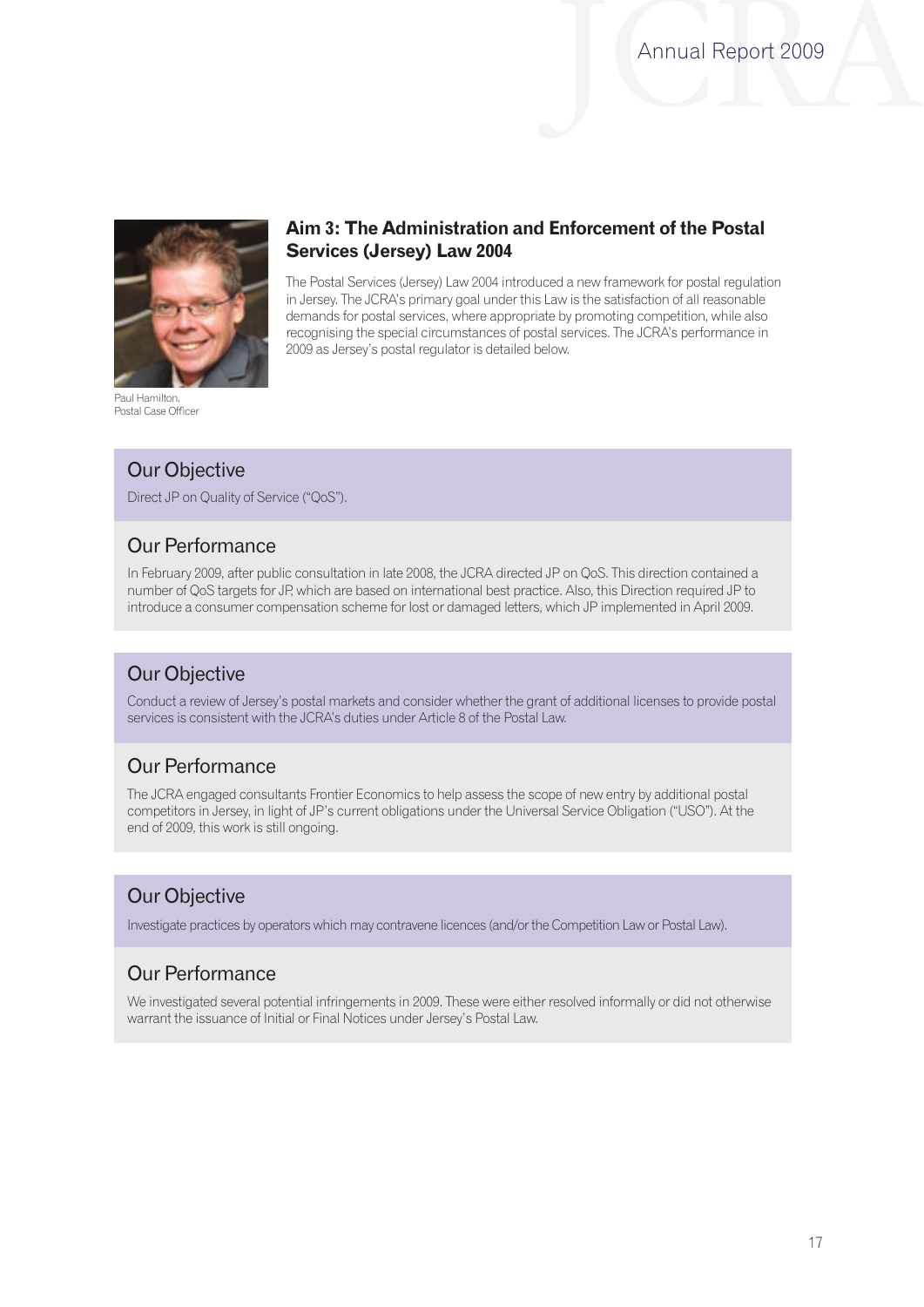

Paul Hamilton, Postal Case Officer

## **Aim 3: The Administration and Enforcement of the Postal Services (Jersey) Law 2004**

The Postal Services (Jersey) Law 2004 introduced a new framework for postal regulation in Jersey. The JCRA's primary goal under this Law is the satisfaction of all reasonable demands for postal services, where appropriate by promoting competition, while also recognising the special circumstances of postal services. The JCRA's performance in 2009 as Jersey's postal regulator is detailed below.

## Our Objective

Direct JP on Quality of Service ("QoS").

## Our Performance

In February 2009, after public consultation in late 2008, the JCRA directed JP on QoS. This direction contained a number of QoS targets for JP, which are based on international best practice. Also, this Direction required JP to introduce a consumer compensation scheme for lost or damaged letters, which JP implemented in April 2009.

## Our Objective

Conduct a review of Jersey's postal markets and consider whether the grant of additional licenses to provide postal services is consistent with the JCRA's duties under Article 8 of the Postal Law.

## Our Performance

The JCRA engaged consultants Frontier Economics to help assess the scope of new entry by additional postal competitors in Jersey, in light of JP's current obligations under the Universal Service Obligation ("USO"). At the end of 2009, this work is still ongoing.

## Our Objective

Investigate practices by operators which may contravene licences (and/or the Competition Law or Postal Law).

## Our Performance

We investigated several potential infringements in 2009. These were either resolved informally or did not otherwise warrant the issuance of Initial or Final Notices under Jersey's Postal Law.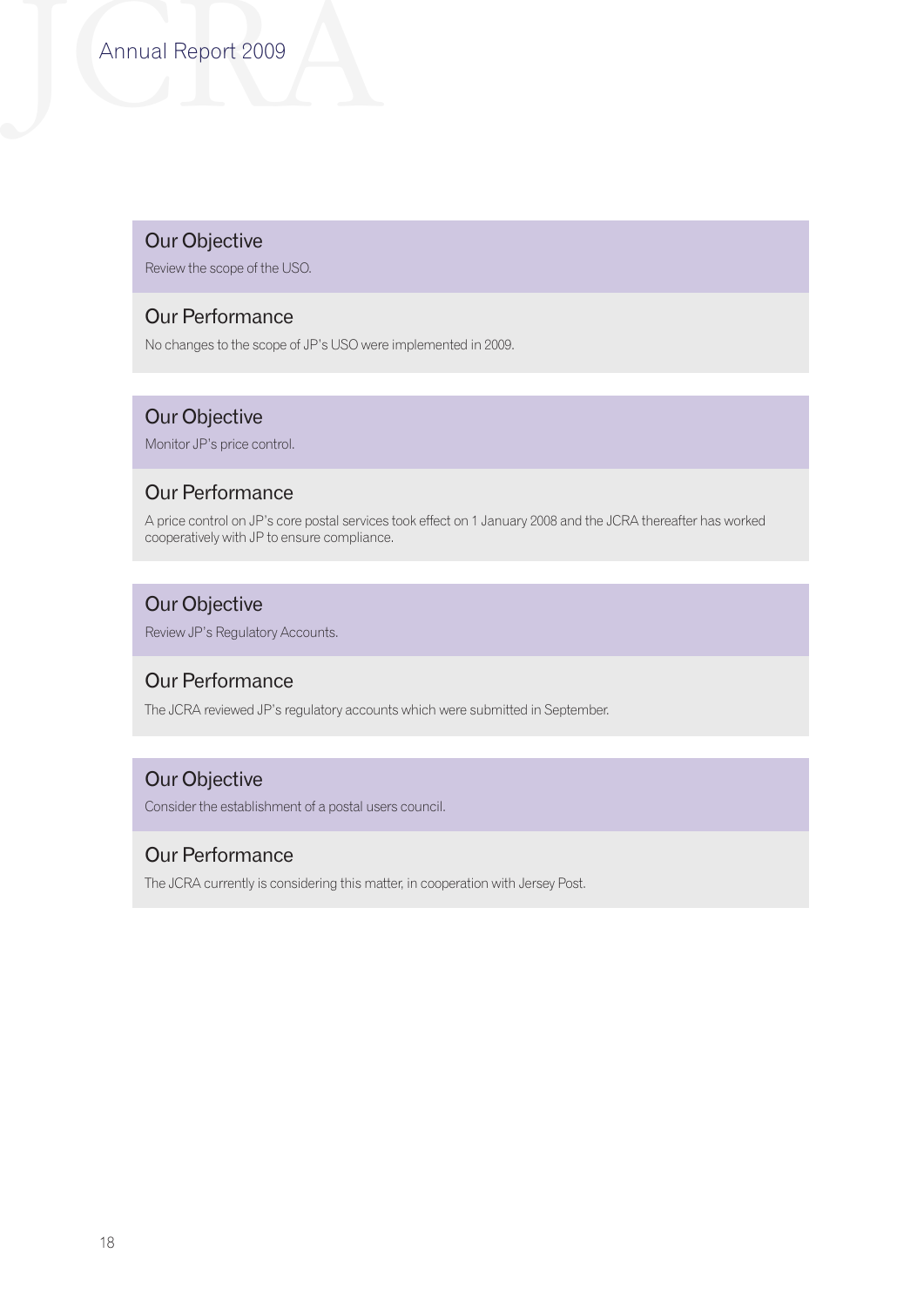# Annual Report 2009

## Our Objective

Review the scope of the USO.

## Our Performance

No changes to the scope of JP's USO were implemented in 2009.

## Our Objective

Monitor JP's price control.

## Our Performance

A price control on JP's core postal services took effect on 1 January 2008 and the JCRA thereafter has worked cooperatively with JP to ensure compliance.

## Our Objective

Review JP's Regulatory Accounts.

## Our Performance

The JCRA reviewed JP's regulatory accounts which were submitted in September.

## Our Objective

Consider the establishment of a postal users council.

## Our Performance

The JCRA currently is considering this matter, in cooperation with Jersey Post.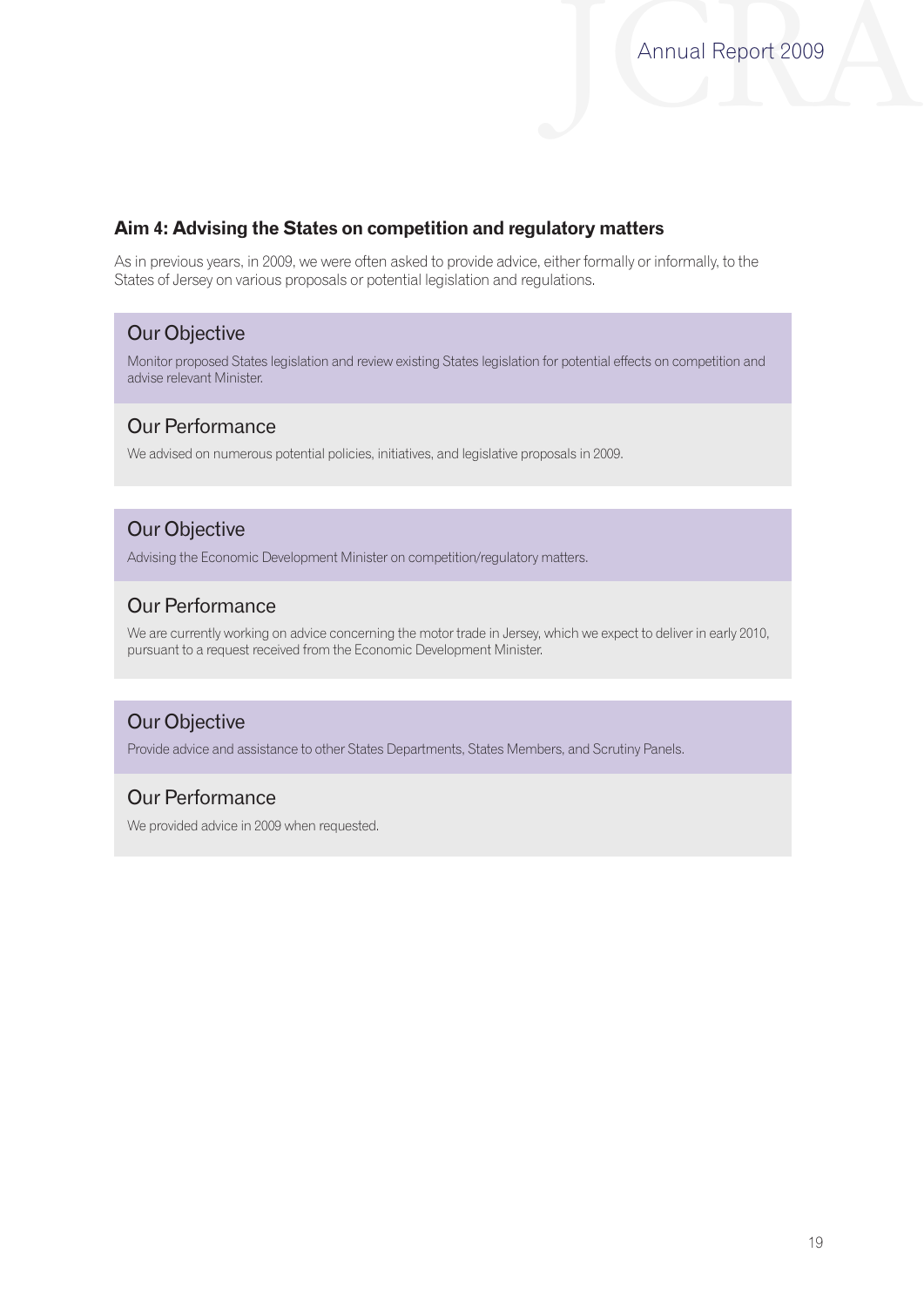## **Aim 4: Advising the States on competition and regulatory matters**

As in previous years, in 2009, we were often asked to provide advice, either formally or informally, to the States of Jersey on various proposals or potential legislation and regulations.

## Our Objective

Monitor proposed States legislation and review existing States legislation for potential effects on competition and advise relevant Minister.

## Our Performance

We advised on numerous potential policies, initiatives, and legislative proposals in 2009.

## Our Objective

Advising the Economic Development Minister on competition/regulatory matters.

## Our Performance

We are currently working on advice concerning the motor trade in Jersey, which we expect to deliver in early 2010, pursuant to a request received from the Economic Development Minister.

## Our Objective

Provide advice and assistance to other States Departments, States Members, and Scrutiny Panels.

## Our Performance

We provided advice in 2009 when requested.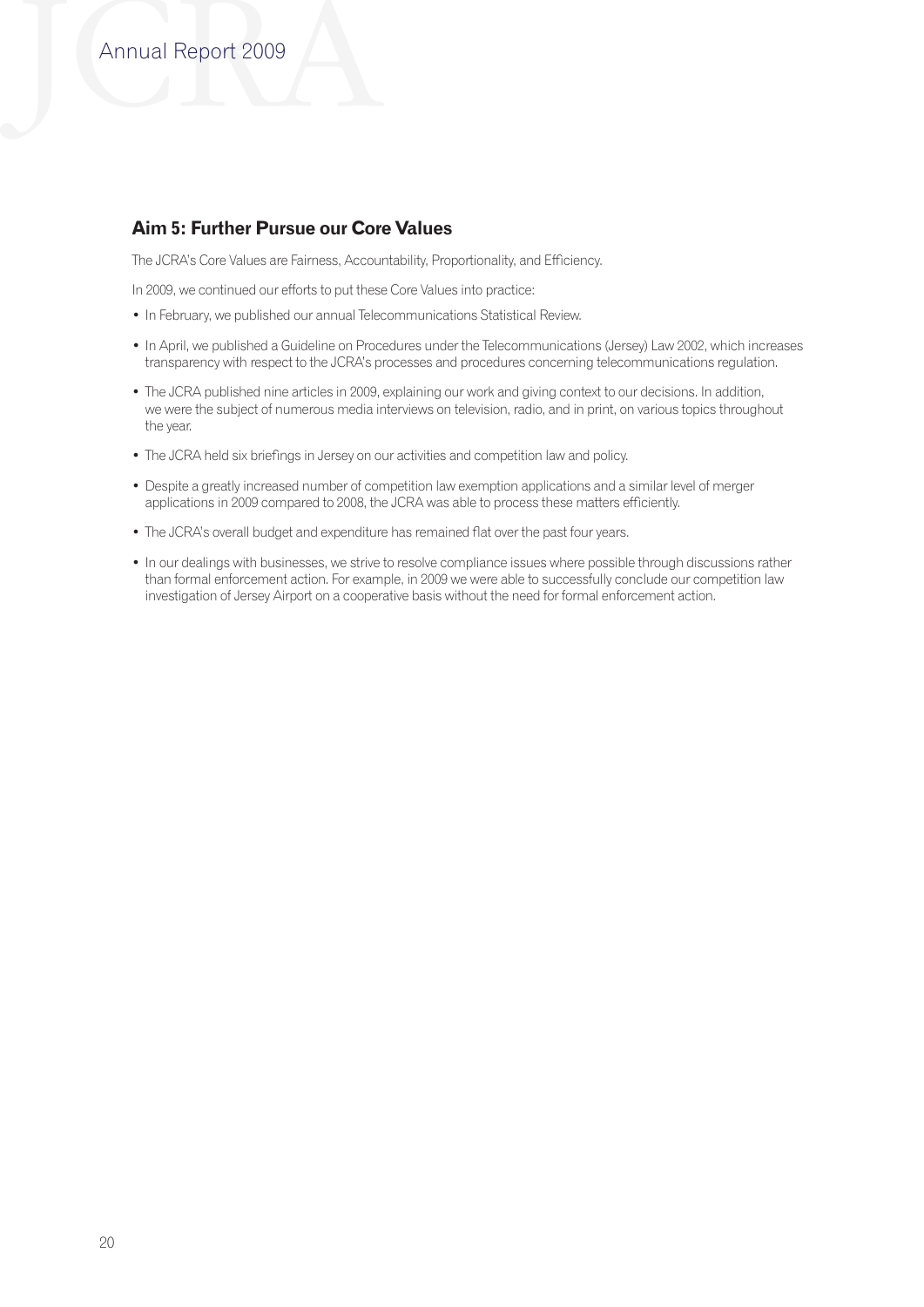## **Aim 5: Further Pursue our Core Values**

The JCRA's Core Values are Fairness, Accountability, Proportionality, and Efficiency.

In 2009, we continued our efforts to put these Core Values into practice:

- In February, we published our annual Telecommunications Statistical Review.
- • In April, we published a Guideline on Procedures under the Telecommunications (Jersey) Law 2002, which increases transparency with respect to the JCRA's processes and procedures concerning telecommunications regulation.
- The JCRA published nine articles in 2009, explaining our work and giving context to our decisions. In addition, we were the subject of numerous media interviews on television, radio, and in print, on various topics throughout the year.
- The JCRA held six briefings in Jersey on our activities and competition law and policy.
- • Despite a greatly increased number of competition law exemption applications and a similar level of merger applications in 2009 compared to 2008, the JCRA was able to process these matters efficiently.
- The JCRA's overall budget and expenditure has remained flat over the past four years.
- • In our dealings with businesses, we strive to resolve compliance issues where possible through discussions rather than formal enforcement action. For example, in 2009 we were able to successfully conclude our competition law investigation of Jersey Airport on a cooperative basis without the need for formal enforcement action.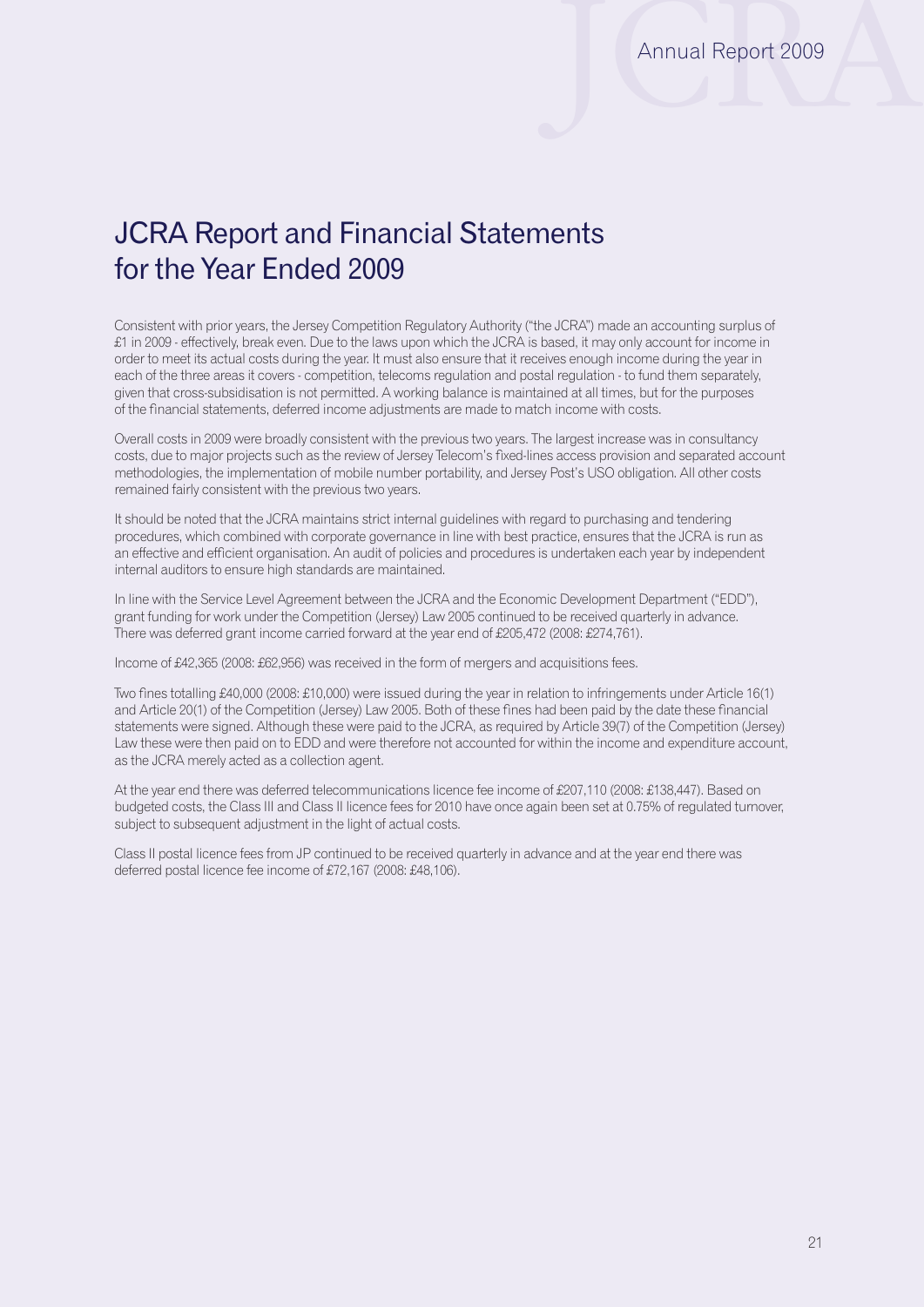# JCRA Report and Financial Statements for the Year Ended 2009

Consistent with prior years, the Jersey Competition Regulatory Authority ("the JCRA") made an accounting surplus of £1 in 2009 - effectively, break even. Due to the laws upon which the JCRA is based, it may only account for income in order to meet its actual costs during the year. It must also ensure that it receives enough income during the year in each of the three areas it covers - competition, telecoms regulation and postal regulation - to fund them separately, given that cross-subsidisation is not permitted. A working balance is maintained at all times, but for the purposes of the financial statements, deferred income adjustments are made to match income with costs.

Overall costs in 2009 were broadly consistent with the previous two years. The largest increase was in consultancy costs, due to major projects such as the review of Jersey Telecom's fixed-lines access provision and separated account methodologies, the implementation of mobile number portability, and Jersey Post's USO obligation. All other costs remained fairly consistent with the previous two years.

It should be noted that the JCRA maintains strict internal guidelines with regard to purchasing and tendering procedures, which combined with corporate governance in line with best practice, ensures that the JCRA is run as an effective and efficient organisation. An audit of policies and procedures is undertaken each year by independent internal auditors to ensure high standards are maintained.

In line with the Service Level Agreement between the JCRA and the Economic Development Department ("EDD"), grant funding for work under the Competition (Jersey) Law 2005 continued to be received quarterly in advance. There was deferred grant income carried forward at the year end of £205,472 (2008: £274,761).

Income of £42,365 (2008: £62,956) was received in the form of mergers and acquisitions fees.

Two fines totalling £40,000 (2008: £10,000) were issued during the year in relation to infringements under Article 16(1) and Article 20(1) of the Competition (Jersey) Law 2005. Both of these fines had been paid by the date these financial statements were signed. Although these were paid to the JCRA, as required by Article 39(7) of the Competition (Jersey) Law these were then paid on to EDD and were therefore not accounted for within the income and expenditure account, as the JCRA merely acted as a collection agent.

At the year end there was deferred telecommunications licence fee income of £207,110 (2008: £138,447). Based on budgeted costs, the Class III and Class II licence fees for 2010 have once again been set at 0.75% of regulated turnover, subject to subsequent adjustment in the light of actual costs.

Class II postal licence fees from JP continued to be received quarterly in advance and at the year end there was deferred postal licence fee income of £72,167 (2008: £48,106).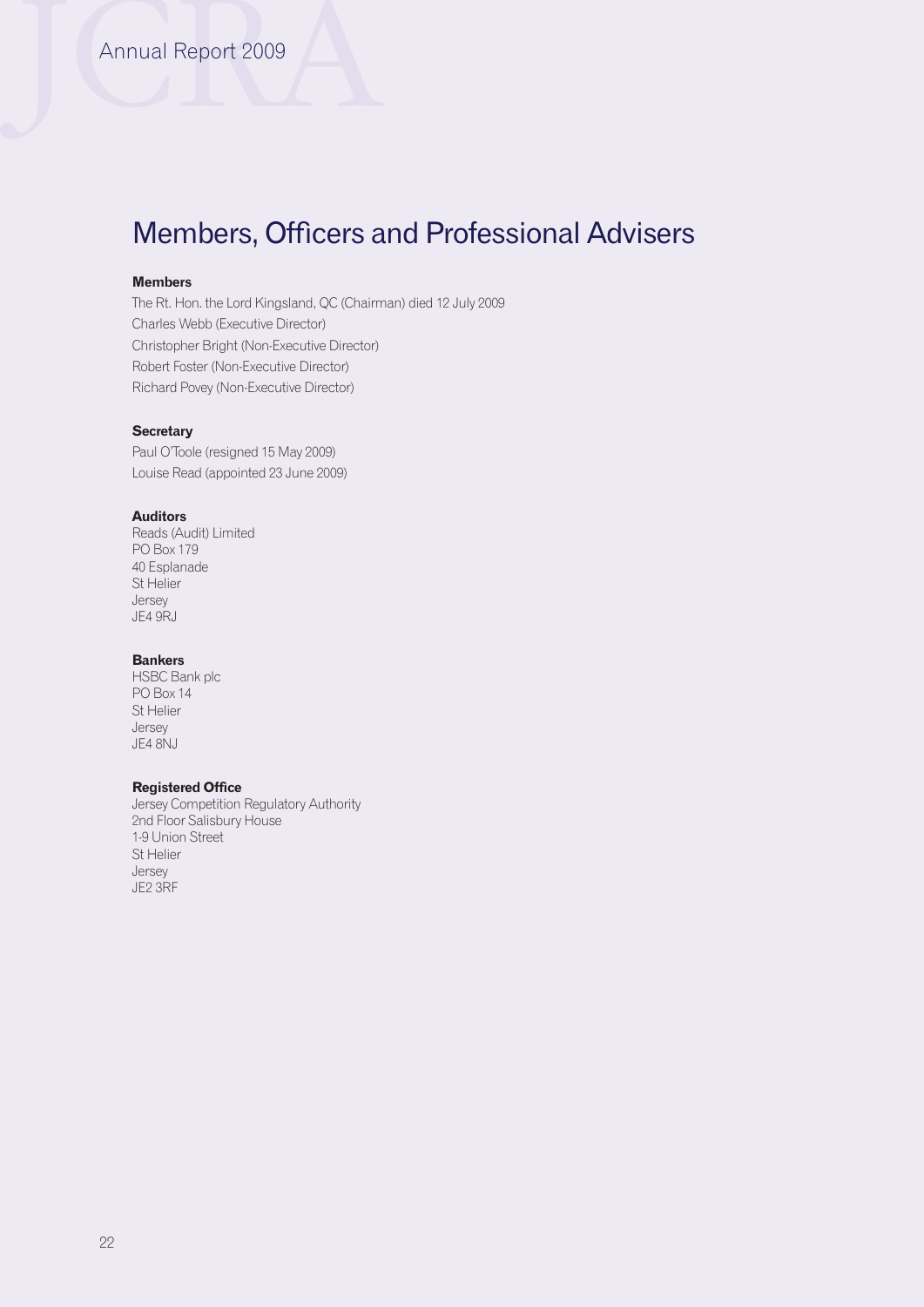# Members, Officers and Professional Advisers

### **Members**

The Rt. Hon. the Lord Kingsland, QC (Chairman) died 12 July 2009 Charles Webb (Executive Director) Christopher Bright (Non-Executive Director) Robert Foster (Non-Executive Director) Richard Povey (Non-Executive Director)

## **Secretary**

Paul O'Toole (resigned 15 May 2009) Louise Read (appointed 23 June 2009)

#### **Auditors**

Reads (Audit) Limited PO Box 179 40 Esplanade St Helier Jersey JE4 9RJ

#### **Bankers**

HSBC Bank plc PO Box 14 St Helier Jersey JE4 8NJ

## **Registered Office**

Jersey Competition Regulatory Authority 2nd Floor Salisbury House 1-9 Union Street St Helier Jersey JE2 3RF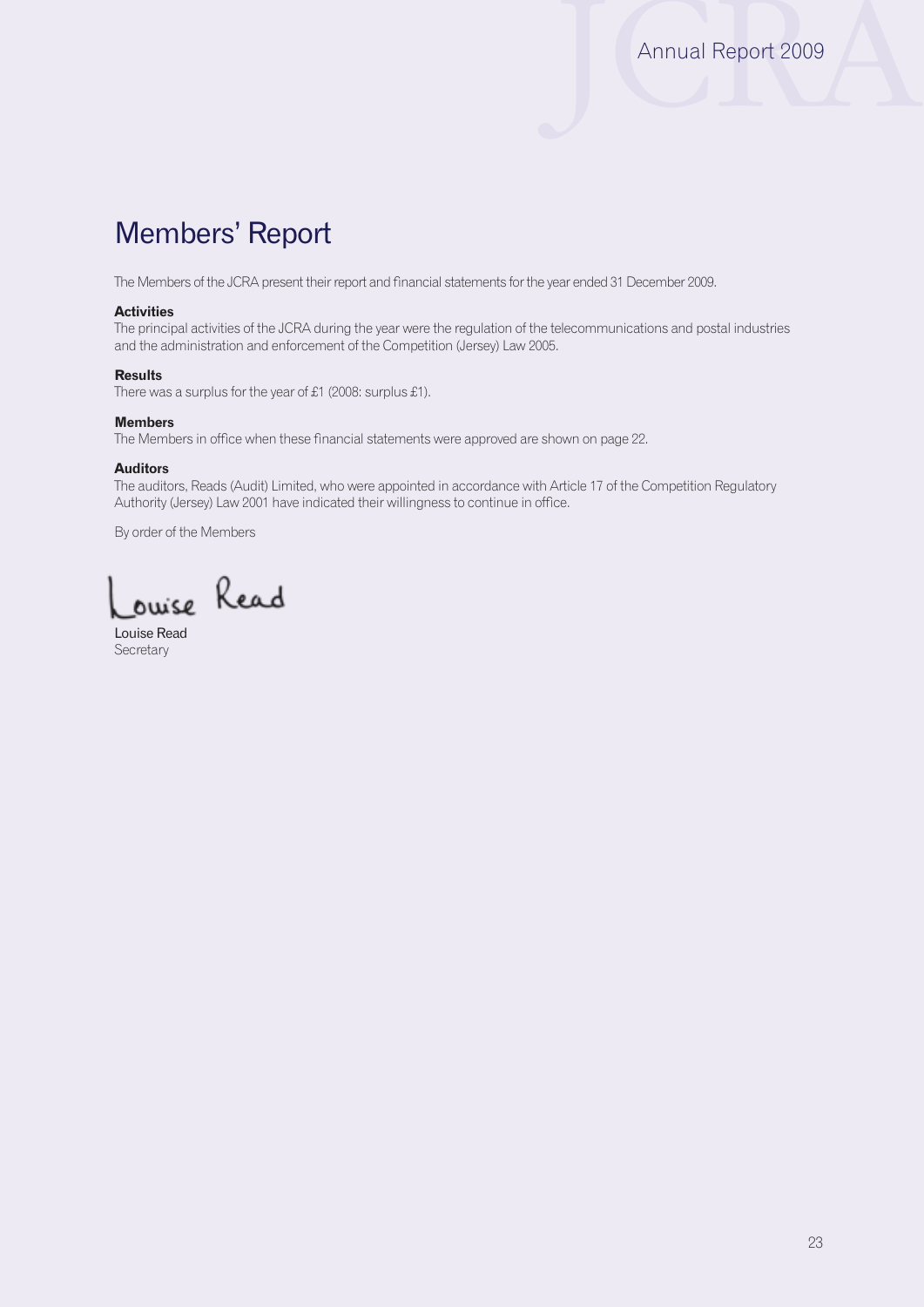# Members' Report

The Members of the JCRA present their report and financial statements for the year ended 31 December 2009.

#### **Activities**

The principal activities of the JCRA during the year were the regulation of the telecommunications and postal industries and the administration and enforcement of the Competition (Jersey) Law 2005.

#### **Results**

There was a surplus for the year of £1 (2008: surplus £1).

#### **Members**

The Members in office when these financial statements were approved are shown on page 22.

#### **Auditors**

The auditors, Reads (Audit) Limited, who were appointed in accordance with Article 17 of the Competition Regulatory Authority (Jersey) Law 2001 have indicated their willingness to continue in office.

By order of the Members

ouise Read

Louise Read **Secretary**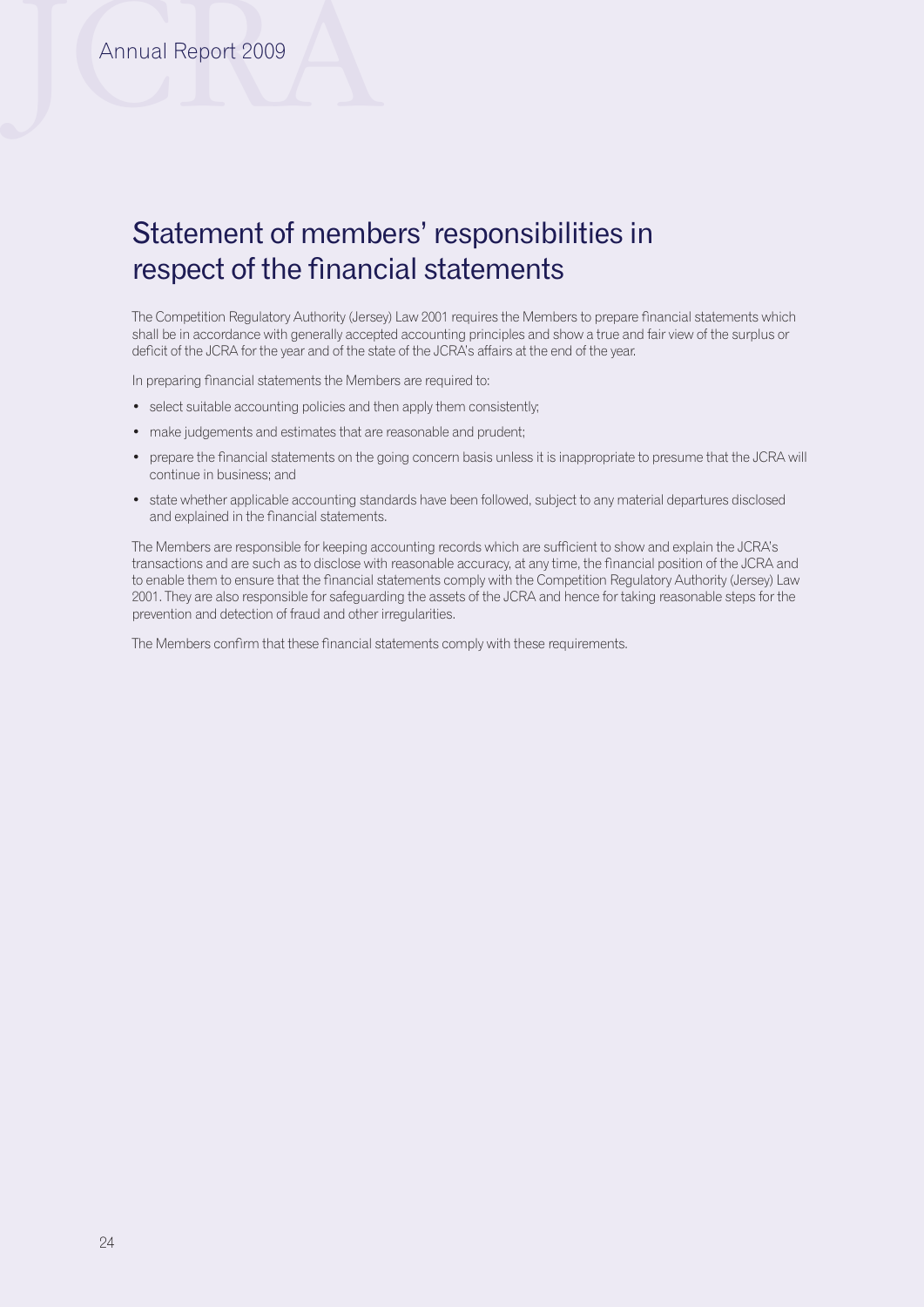# Statement of members' responsibilities in respect of the financial statements

The Competition Regulatory Authority (Jersey) Law 2001 requires the Members to prepare financial statements which shall be in accordance with generally accepted accounting principles and show a true and fair view of the surplus or deficit of the JCRA for the year and of the state of the JCRA's affairs at the end of the year.

In preparing financial statements the Members are required to:

- select suitable accounting policies and then apply them consistently:
- make judgements and estimates that are reasonable and prudent;
- prepare the financial statements on the going concern basis unless it is inappropriate to presume that the JCRA will continue in business; and
- • state whether applicable accounting standards have been followed, subject to any material departures disclosed and explained in the financial statements.

The Members are responsible for keeping accounting records which are sufficient to show and explain the JCRA's transactions and are such as to disclose with reasonable accuracy, at any time, the financial position of the JCRA and to enable them to ensure that the financial statements comply with the Competition Regulatory Authority (Jersey) Law 2001. They are also responsible for safeguarding the assets of the JCRA and hence for taking reasonable steps for the prevention and detection of fraud and other irregularities.

The Members confirm that these financial statements comply with these requirements.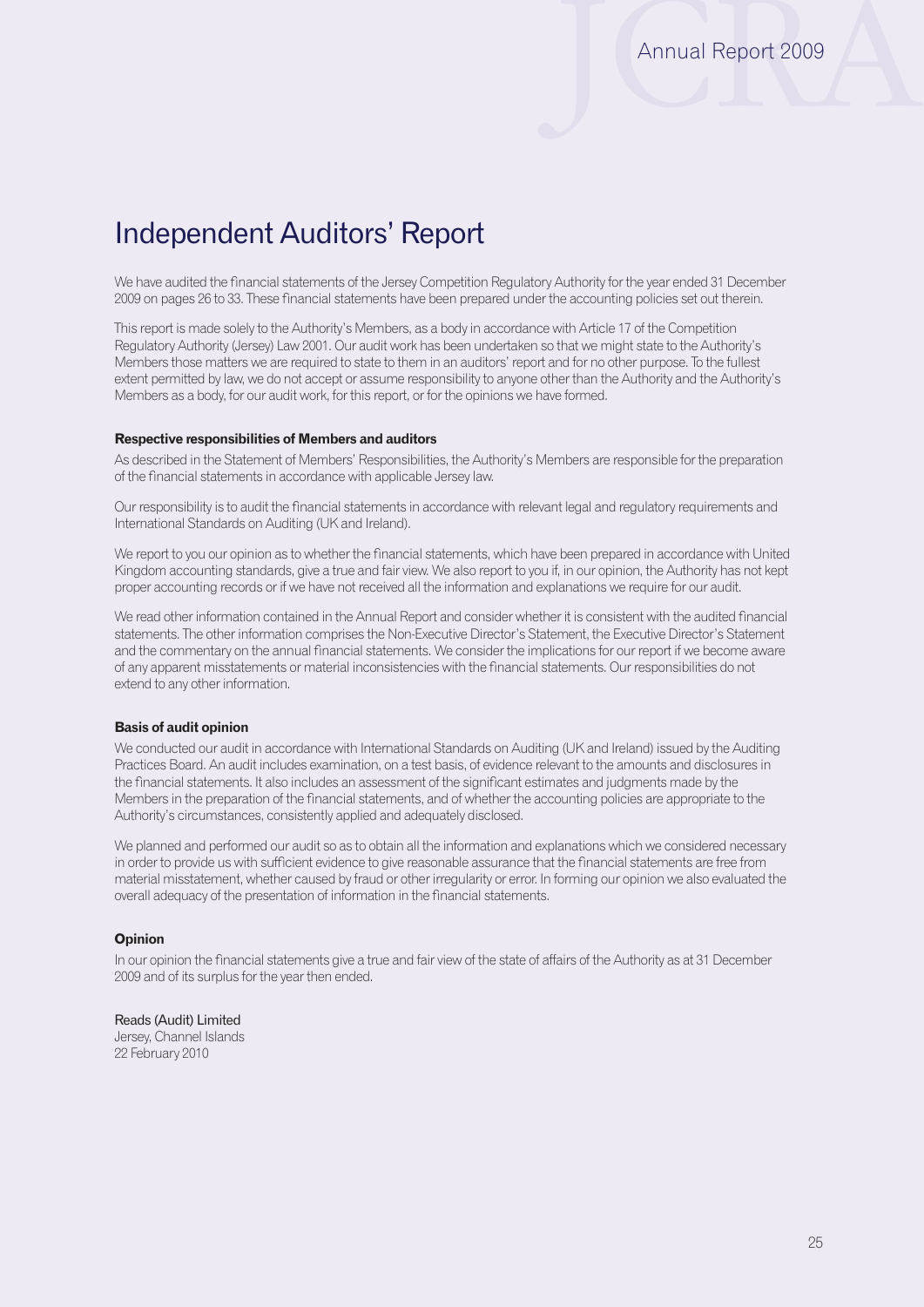# Independent Auditors' Report

We have audited the financial statements of the Jersey Competition Regulatory Authority for the year ended 31 December 2009 on pages 26 to 33. These financial statements have been prepared under the accounting policies set out therein.

This report is made solely to the Authority's Members, as a body in accordance with Article 17 of the Competition Regulatory Authority (Jersey) Law 2001. Our audit work has been undertaken so that we might state to the Authority's Members those matters we are required to state to them in an auditors' report and for no other purpose. To the fullest extent permitted by law, we do not accept or assume responsibility to anyone other than the Authority and the Authority's Members as a body, for our audit work, for this report, or for the opinions we have formed.

#### **Respective responsibilities of Members and auditors**

As described in the Statement of Members' Responsibilities, the Authority's Members are responsible for the preparation of the financial statements in accordance with applicable Jersey law.

Our responsibility is to audit the financial statements in accordance with relevant legal and regulatory requirements and International Standards on Auditing (UK and Ireland).

We report to you our opinion as to whether the financial statements, which have been prepared in accordance with United Kingdom accounting standards, give a true and fair view. We also report to you if, in our opinion, the Authority has not kept proper accounting records or if we have not received all the information and explanations we require for our audit.

We read other information contained in the Annual Report and consider whether it is consistent with the audited financial statements. The other information comprises the Non-Executive Director's Statement, the Executive Director's Statement and the commentary on the annual financial statements. We consider the implications for our report if we become aware of any apparent misstatements or material inconsistencies with the financial statements. Our responsibilities do not extend to any other information.

#### **Basis of audit opinion**

We conducted our audit in accordance with International Standards on Auditing (UK and Ireland) issued by the Auditing Practices Board. An audit includes examination, on a test basis, of evidence relevant to the amounts and disclosures in the financial statements. It also includes an assessment of the significant estimates and judgments made by the Members in the preparation of the financial statements, and of whether the accounting policies are appropriate to the Authority's circumstances, consistently applied and adequately disclosed.

We planned and performed our audit so as to obtain all the information and explanations which we considered necessary in order to provide us with sufficient evidence to give reasonable assurance that the financial statements are free from material misstatement, whether caused by fraud or other irregularity or error. In forming our opinion we also evaluated the overall adequacy of the presentation of information in the financial statements.

#### **Opinion**

In our opinion the financial statements give a true and fair view of the state of affairs of the Authority as at 31 December 2009 and of its surplus for the year then ended.

Reads (Audit) Limited Jersey, Channel Islands 22 February 2010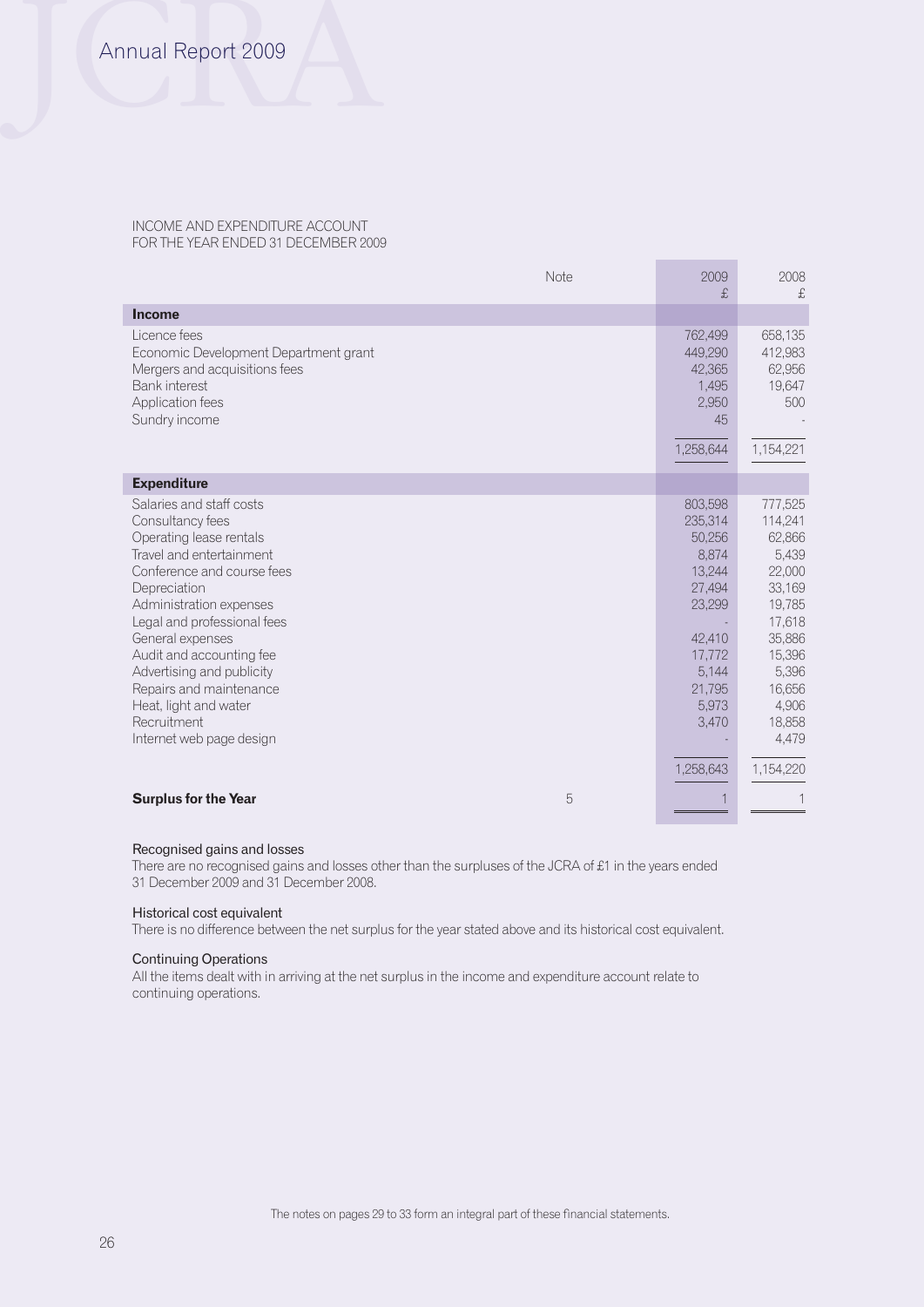#### INCOME AND EXPENDITURE ACCOUNT FOR THE YEAR ENDED 31 DECEMBER 2009

|                                                                                                                                                                                                                                                                                                                                                                                         | Note | 2009<br>£                                                                                                                    | 2008<br>£                                                                                                                                        |
|-----------------------------------------------------------------------------------------------------------------------------------------------------------------------------------------------------------------------------------------------------------------------------------------------------------------------------------------------------------------------------------------|------|------------------------------------------------------------------------------------------------------------------------------|--------------------------------------------------------------------------------------------------------------------------------------------------|
| <b>Income</b>                                                                                                                                                                                                                                                                                                                                                                           |      |                                                                                                                              |                                                                                                                                                  |
| Licence fees<br>Economic Development Department grant<br>Mergers and acquisitions fees<br><b>Bank</b> interest<br>Application fees<br>Sundry income                                                                                                                                                                                                                                     |      | 762,499<br>449,290<br>42,365<br>1,495<br>2,950<br>45<br>1,258,644                                                            | 658,135<br>412,983<br>62,956<br>19,647<br>500<br>1,154,221                                                                                       |
|                                                                                                                                                                                                                                                                                                                                                                                         |      |                                                                                                                              |                                                                                                                                                  |
| <b>Expenditure</b>                                                                                                                                                                                                                                                                                                                                                                      |      |                                                                                                                              |                                                                                                                                                  |
| Salaries and staff costs<br>Consultancy fees<br>Operating lease rentals<br>Travel and entertainment<br>Conference and course fees<br>Depreciation<br>Administration expenses<br>Legal and professional fees<br>General expenses<br>Audit and accounting fee<br>Advertising and publicity<br>Repairs and maintenance<br>Heat, light and water<br>Recruitment<br>Internet web page design |      | 803,598<br>235,314<br>50,256<br>8,874<br>13,244<br>27,494<br>23,299<br>42,410<br>17,772<br>5,144<br>21,795<br>5,973<br>3,470 | 777,525<br>114,241<br>62,866<br>5,439<br>22,000<br>33,169<br>19,785<br>17,618<br>35,886<br>15,396<br>5,396<br>16,656<br>4,906<br>18,858<br>4,479 |
|                                                                                                                                                                                                                                                                                                                                                                                         |      | 1,258,643                                                                                                                    | 1,154,220                                                                                                                                        |
| <b>Surplus for the Year</b>                                                                                                                                                                                                                                                                                                                                                             | 5    |                                                                                                                              |                                                                                                                                                  |

#### Recognised gains and losses

There are no recognised gains and losses other than the surpluses of the JCRA of £1 in the years ended 31 December 2009 and 31 December 2008.

#### Historical cost equivalent

There is no difference between the net surplus for the year stated above and its historical cost equivalent.

#### Continuing Operations

All the items dealt with in arriving at the net surplus in the income and expenditure account relate to continuing operations.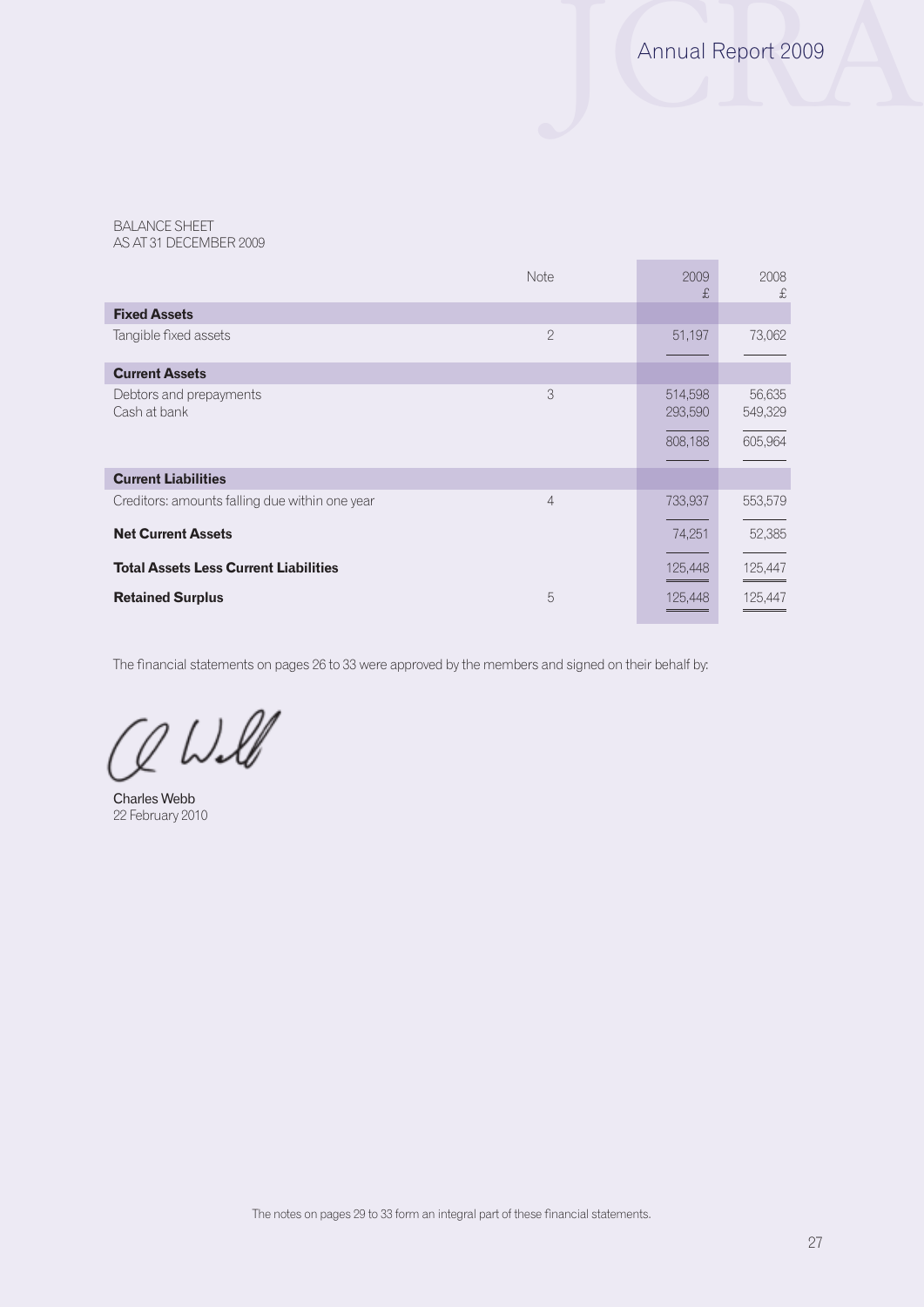BALANCE SHEET AS AT 31 DECEMBER 2009

|                                                | Note           | 2009<br>£          | 2008<br>£         |
|------------------------------------------------|----------------|--------------------|-------------------|
| <b>Fixed Assets</b>                            |                |                    |                   |
| Tangible fixed assets                          | $\mathcal{P}$  | 51,197             | 73,062            |
| <b>Current Assets</b>                          |                |                    |                   |
| Debtors and prepayments<br>Cash at bank        | 3              | 514,598<br>293,590 | 56,635<br>549,329 |
|                                                |                | 808,188            | 605,964           |
| <b>Current Liabilities</b>                     |                |                    |                   |
| Creditors: amounts falling due within one year | $\overline{4}$ | 733,937            | 553,579           |
| <b>Net Current Assets</b>                      |                | 74,251             | 52,385            |
| <b>Total Assets Less Current Liabilities</b>   |                | 125,448            | 125,447           |
| <b>Retained Surplus</b>                        | 5              | 125,448            | 125,447           |

The financial statements on pages 26 to 33 were approved by the members and signed on their behalf by:

 $Q$  Will

Charles Webb 22 February 2010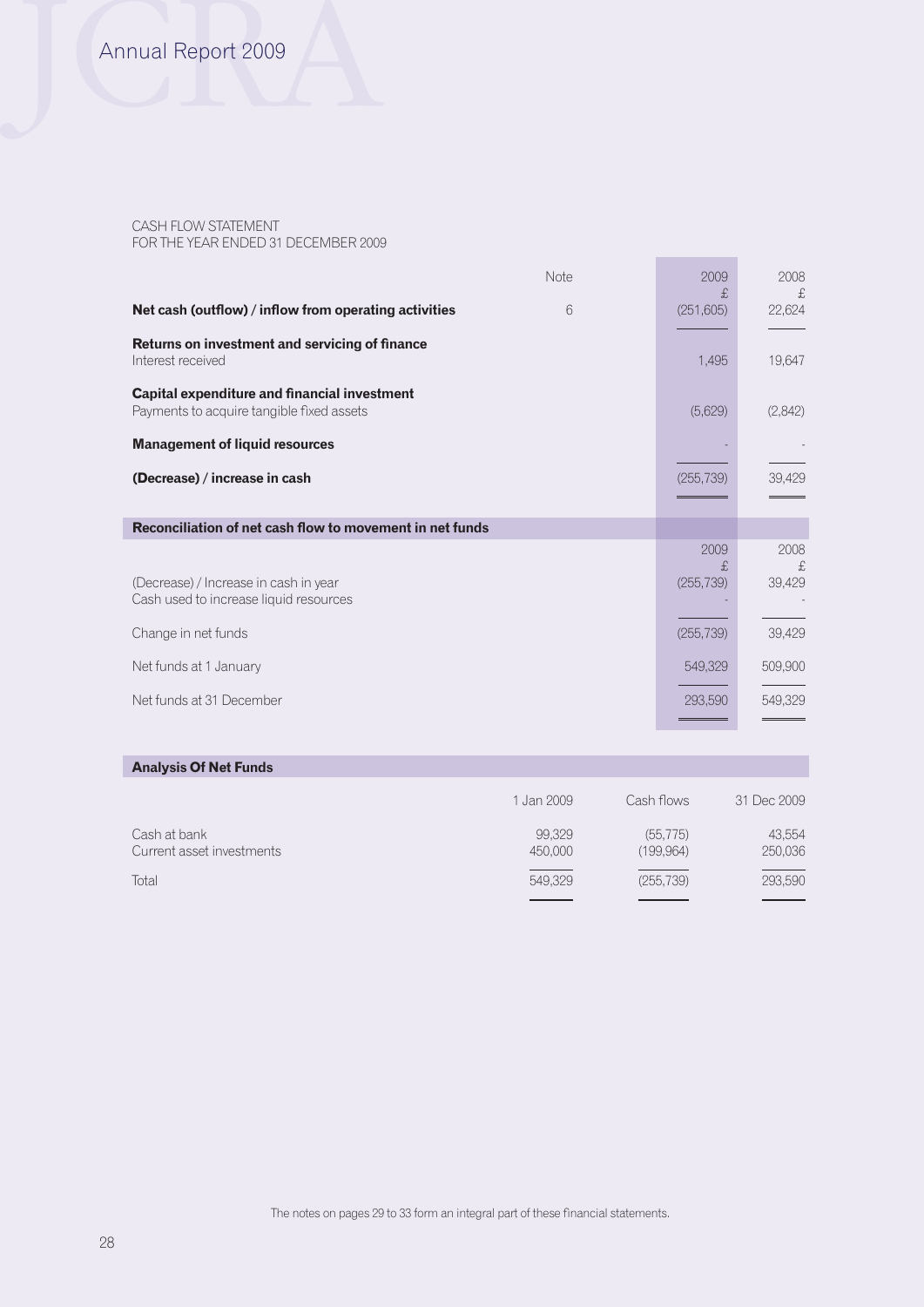# Annual Report 2009

#### CASH FLOW STATEMENT FOR THE YEAR ENDED 31 DECEMBER 2009

| Note                                                                                      | 2009<br>£, | 2008<br>£ |
|-------------------------------------------------------------------------------------------|------------|-----------|
| Net cash (outflow) / inflow from operating activities<br>6                                | (251, 605) | 22,624    |
| Returns on investment and servicing of finance<br>Interest received                       | 1,495      | 19,647    |
| Capital expenditure and financial investment<br>Payments to acquire tangible fixed assets | (5,629)    | (2,842)   |
| <b>Management of liquid resources</b>                                                     |            |           |
| (Decrease) / increase in cash                                                             | (255, 739) | 39,429    |
|                                                                                           |            |           |
| Reconciliation of net cash flow to movement in net funds                                  |            |           |
|                                                                                           | 2009<br>£. | 2008<br>£ |
| (Decrease) / Increase in cash in year                                                     | (255, 739) | 39,429    |
| Cash used to increase liquid resources                                                    |            |           |
| Change in net funds                                                                       | (255, 739) | 39,429    |
| Net funds at 1 January                                                                    | 549,329    | 509,900   |
| Net funds at 31 December                                                                  | 293,590    | 549,329   |
|                                                                                           |            |           |

## **Analysis Of Net Funds**

|                                           | 1 Jan 2009        | Cash flows             | 31 Dec 2009       |
|-------------------------------------------|-------------------|------------------------|-------------------|
| Cash at bank<br>Current asset investments | 99,329<br>450,000 | (55, 775)<br>(199,964) | 43.554<br>250,036 |
| Total                                     | 549,329           | (255, 739)             | 293,590           |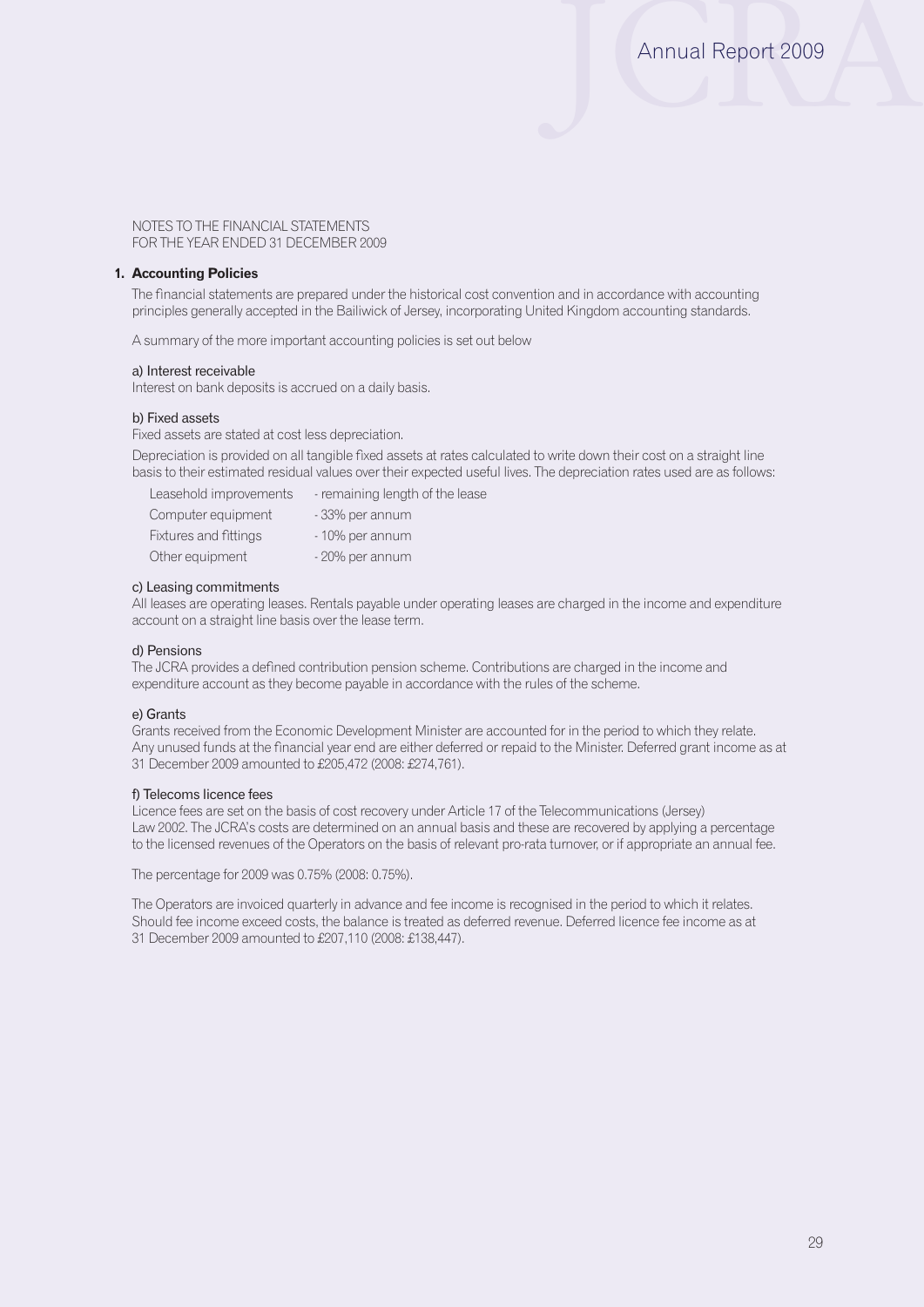#### **1. Accounting Policies**

The financial statements are prepared under the historical cost convention and in accordance with accounting principles generally accepted in the Bailiwick of Jersey, incorporating United Kingdom accounting standards.

A summary of the more important accounting policies is set out below

#### a) Interest receivable

Interest on bank deposits is accrued on a daily basis.

#### b) Fixed assets

Fixed assets are stated at cost less depreciation.

Depreciation is provided on all tangible fixed assets at rates calculated to write down their cost on a straight line basis to their estimated residual values over their expected useful lives. The depreciation rates used are as follows:

| Leasehold improvements | - remaining length of the lease |
|------------------------|---------------------------------|
| Computer equipment     | - 33% per annum                 |
| Fixtures and fittings  | - 10% per annum                 |
| Other equipment        | - 20% per annum                 |

#### c) Leasing commitments

All leases are operating leases. Rentals payable under operating leases are charged in the income and expenditure account on a straight line basis over the lease term.

#### d) Pensions

The JCRA provides a defined contribution pension scheme. Contributions are charged in the income and expenditure account as they become payable in accordance with the rules of the scheme.

#### e) Grants

Grants received from the Economic Development Minister are accounted for in the period to which they relate. Any unused funds at the financial year end are either deferred or repaid to the Minister. Deferred grant income as at 31 December 2009 amounted to £205,472 (2008: £274,761).

#### f) Telecoms licence fees

Licence fees are set on the basis of cost recovery under Article 17 of the Telecommunications (Jersey) Law 2002. The JCRA's costs are determined on an annual basis and these are recovered by applying a percentage to the licensed revenues of the Operators on the basis of relevant pro-rata turnover, or if appropriate an annual fee.

The percentage for 2009 was 0.75% (2008: 0.75%).

The Operators are invoiced quarterly in advance and fee income is recognised in the period to which it relates. Should fee income exceed costs, the balance is treated as deferred revenue. Deferred licence fee income as at 31 December 2009 amounted to £207,110 (2008: £138,447).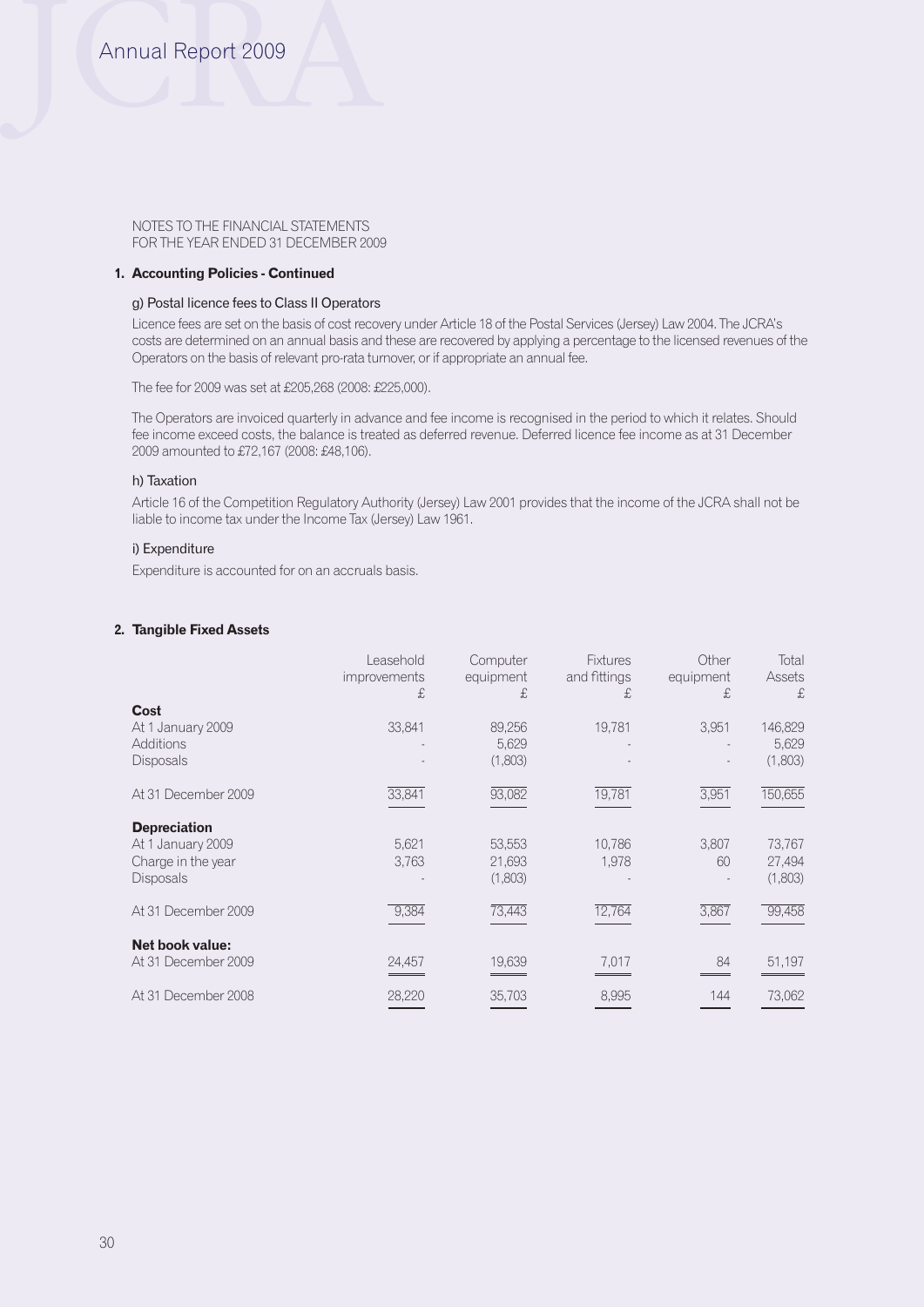# Annual Report 2009

NOTES TO THE FINANCIAL STATEMENTS FOR THE YEAR ENDED 31 DECEMBER 2009

#### **1. Accounting Policies - Continued**

#### g) Postal licence fees to Class II Operators

Licence fees are set on the basis of cost recovery under Article 18 of the Postal Services (Jersey) Law 2004. The JCRA's costs are determined on an annual basis and these are recovered by applying a percentage to the licensed revenues of the Operators on the basis of relevant pro-rata turnover, or if appropriate an annual fee.

The fee for 2009 was set at £205,268 (2008: £225,000).

The Operators are invoiced quarterly in advance and fee income is recognised in the period to which it relates. Should fee income exceed costs, the balance is treated as deferred revenue. Deferred licence fee income as at 31 December 2009 amounted to £72,167 (2008: £48,106).

#### h) Taxation

Article 16 of the Competition Regulatory Authority (Jersey) Law 2001 provides that the income of the JCRA shall not be liable to income tax under the Income Tax (Jersey) Law 1961.

## i) Expenditure

Expenditure is accounted for on an accruals basis.

#### **2. Tangible Fixed Assets**

|                                                                                    | Leasehold<br>improvements<br>£ | Computer<br>equipment<br>£, | <b>Fixtures</b><br>and fittings<br>£ | Other<br>equipment<br>£, | Total<br>Assets<br>£,       |
|------------------------------------------------------------------------------------|--------------------------------|-----------------------------|--------------------------------------|--------------------------|-----------------------------|
| Cost<br>At 1 January 2009<br>Additions<br><b>Disposals</b>                         | 33,841                         | 89,256<br>5,629<br>(1,803)  | 19,781                               | 3,951                    | 146,829<br>5,629<br>(1,803) |
| At 31 December 2009                                                                | 33,841                         | 93,082                      | 19,781                               | 3,951                    | 150,655                     |
| <b>Depreciation</b><br>At 1 January 2009<br>Charge in the year<br><b>Disposals</b> | 5,621<br>3,763                 | 53,553<br>21,693<br>(1,803) | 10,786<br>1,978                      | 3,807<br>60              | 73,767<br>27,494<br>(1,803) |
| At 31 December 2009                                                                | 9,384                          | 73,443                      | 12,764                               | 3,867                    | 99,458                      |
| Net book value:<br>At 31 December 2009                                             | 24,457                         | 19,639                      | 7,017                                | 84                       | 51,197                      |
| At 31 December 2008                                                                | 28,220                         | 35,703                      | 8,995                                | 144                      | 73,062                      |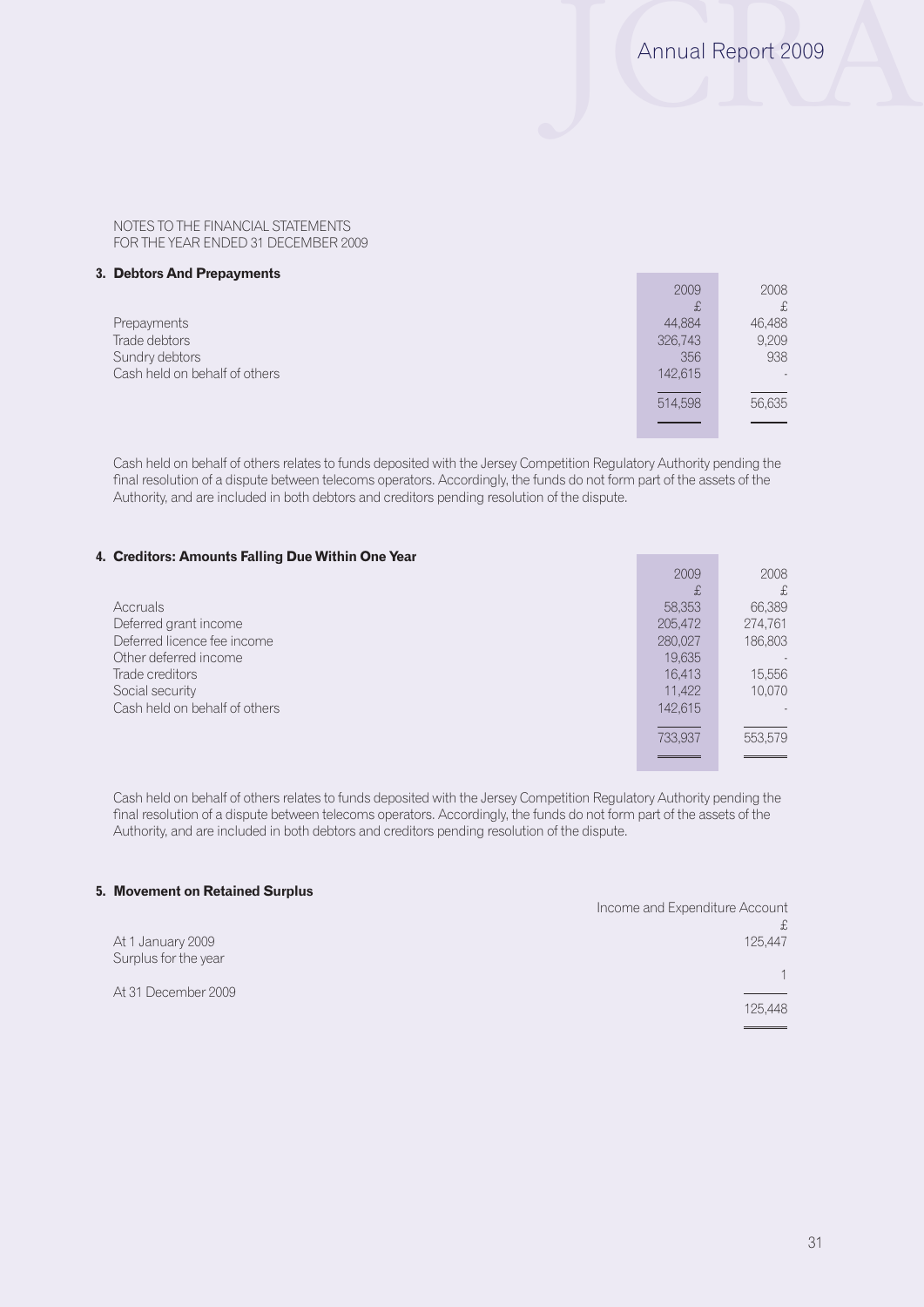#### **3. Debtors And Prepayments**

|                               | 2009    | 2008   |
|-------------------------------|---------|--------|
|                               | £       | £      |
| Prepayments                   | 44,884  | 46,488 |
| Trade debtors                 | 326,743 | 9,209  |
| Sundry debtors                | 356     | 938    |
| Cash held on behalf of others | 142,615 | $\sim$ |
|                               |         |        |
|                               | 514,598 | 56,635 |
|                               |         |        |
|                               |         |        |

Cash held on behalf of others relates to funds deposited with the Jersey Competition Regulatory Authority pending the final resolution of a dispute between telecoms operators. Accordingly, the funds do not form part of the assets of the Authority, and are included in both debtors and creditors pending resolution of the dispute.

#### **4. Creditors: Amounts Falling Due Within One Year**

|                               | 2009    | 2008    |
|-------------------------------|---------|---------|
|                               | £       | £,      |
| Accruals                      | 58,353  | 66,389  |
| Deferred grant income         | 205,472 | 274,761 |
| Deferred licence fee income   | 280,027 | 186,803 |
| Other deferred income         | 19,635  | $\sim$  |
| Trade creditors               | 16.413  | 15,556  |
| Social security               | 11.422  | 10,070  |
| Cash held on behalf of others | 142.615 |         |
|                               |         |         |
|                               | 733.937 | 553,579 |
|                               |         |         |

Cash held on behalf of others relates to funds deposited with the Jersey Competition Regulatory Authority pending the final resolution of a dispute between telecoms operators. Accordingly, the funds do not form part of the assets of the Authority, and are included in both debtors and creditors pending resolution of the dispute.

### **5. Movement on Retained Surplus**

|                                           | Income and Expenditure Account |
|-------------------------------------------|--------------------------------|
|                                           |                                |
| At 1 January 2009<br>Surplus for the year | 125,447                        |
|                                           |                                |
| At 31 December 2009                       |                                |
|                                           | 125,448                        |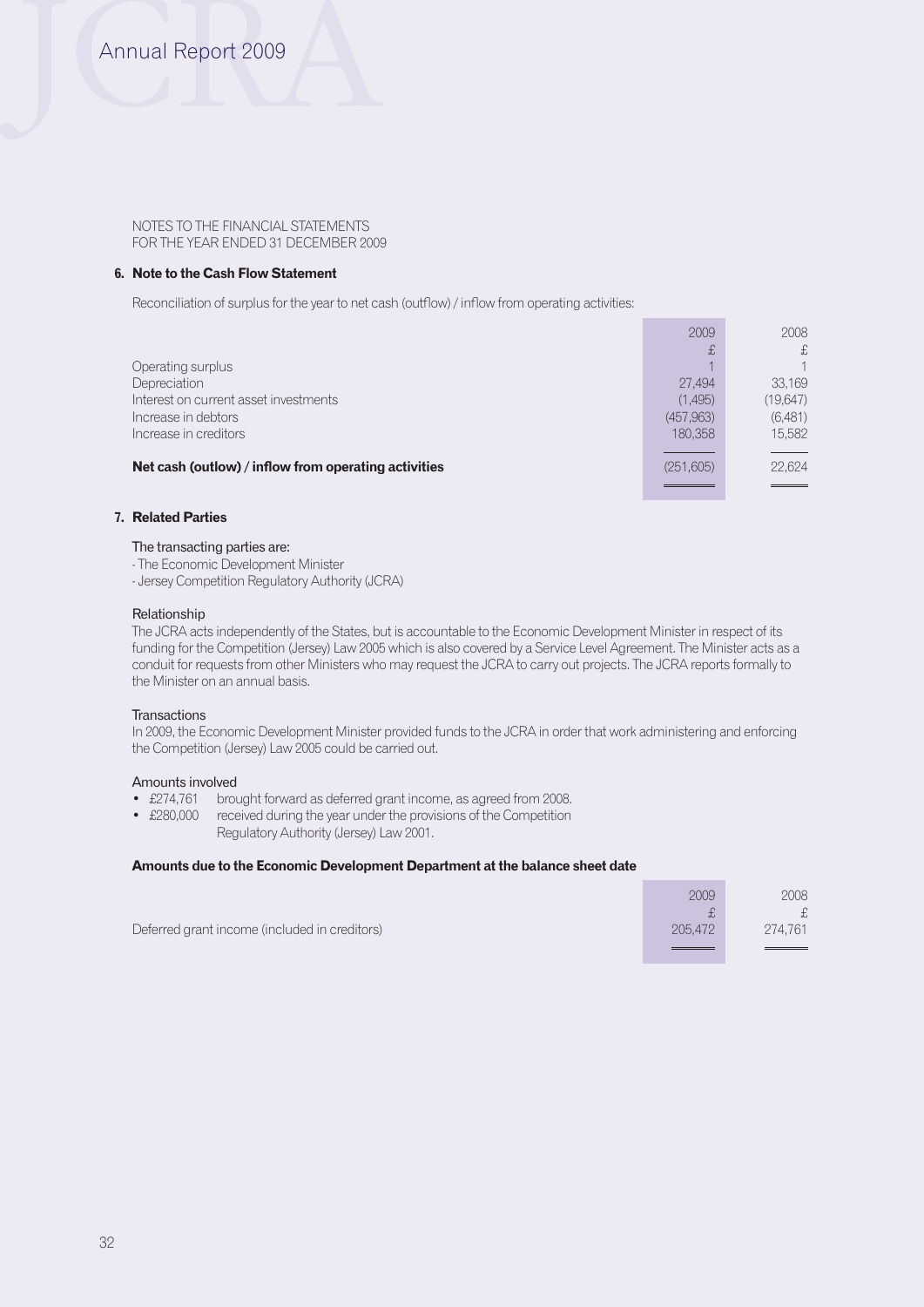## **6. Note to the Cash Flow Statement**

Reconciliation of surplus for the year to net cash (outflow) / inflow from operating activities:

|                                                      | 2009       | 2008      |
|------------------------------------------------------|------------|-----------|
|                                                      | £          | £         |
| Operating surplus                                    |            |           |
| Depreciation                                         | 27.494     | 33,169    |
| Interest on current asset investments                | (1,495)    | (19, 647) |
| Increase in debtors                                  | (457, 963) | (6,481)   |
| Increase in creditors                                | 180,358    | 15,582    |
|                                                      |            |           |
| Net cash (outlow) / inflow from operating activities | (251,605)  | 22,624    |
|                                                      |            |           |

## **7. Related Parties**

#### The transacting parties are:

- The Economic Development Minister

- Jersey Competition Regulatory Authority (JCRA)

#### Relationship

The JCRA acts independently of the States, but is accountable to the Economic Development Minister in respect of its funding for the Competition (Jersey) Law 2005 which is also covered by a Service Level Agreement. The Minister acts as a conduit for requests from other Ministers who may request the JCRA to carry out projects. The JCRA reports formally to the Minister on an annual basis.

#### **Transactions**

In 2009, the Economic Development Minister provided funds to the JCRA in order that work administering and enforcing the Competition (Jersey) Law 2005 could be carried out.

#### Amounts involved

- £274,761 brought forward as deferred grant income, as agreed from 2008.
- £280,000 received during the year under the provisions of the Competition Regulatory Authority (Jersey) Law 2001.

#### **Amounts due to the Economic Development Department at the balance sheet date**

|                                               | 2009    | 2008    |
|-----------------------------------------------|---------|---------|
|                                               |         | £.      |
| Deferred grant income (included in creditors) | 205,472 | 274.761 |
|                                               |         |         |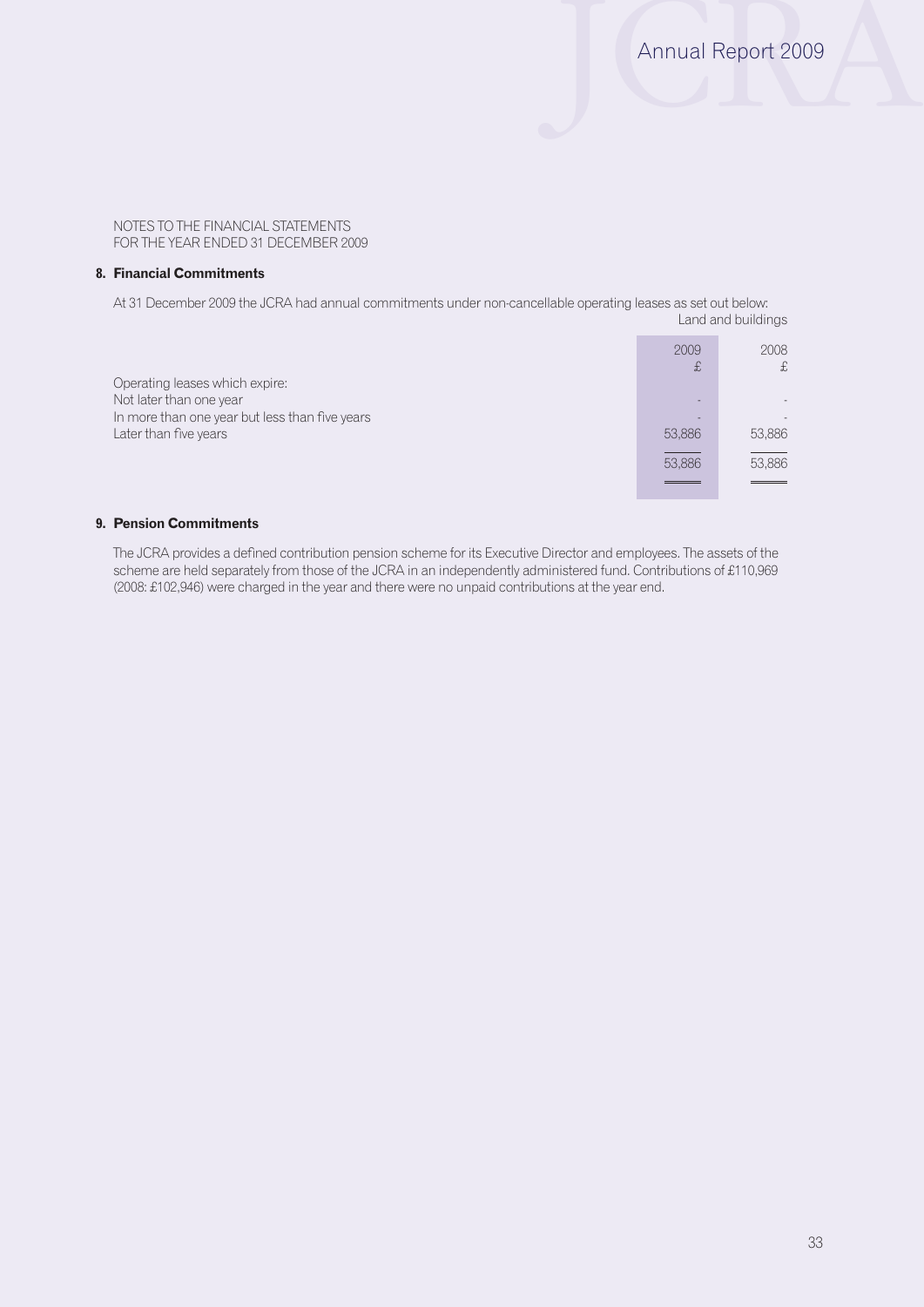#### **8. Financial Commitments**

At 31 December 2009 the JCRA had annual commitments under non-cancellable operating leases as set out below: Land and buildings

|                                                | 2009<br>£ | 2008<br>£ |
|------------------------------------------------|-----------|-----------|
| Operating leases which expire:                 |           |           |
| Not later than one year                        |           |           |
| In more than one year but less than five years |           |           |
| Later than five years                          | 53,886    | 53,886    |
|                                                | 53,886    | 53,886    |
|                                                |           |           |
|                                                |           |           |

### **9. Pension Commitments**

The JCRA provides a defined contribution pension scheme for its Executive Director and employees. The assets of the scheme are held separately from those of the JCRA in an independently administered fund. Contributions of £110,969 (2008: £102,946) were charged in the year and there were no unpaid contributions at the year end.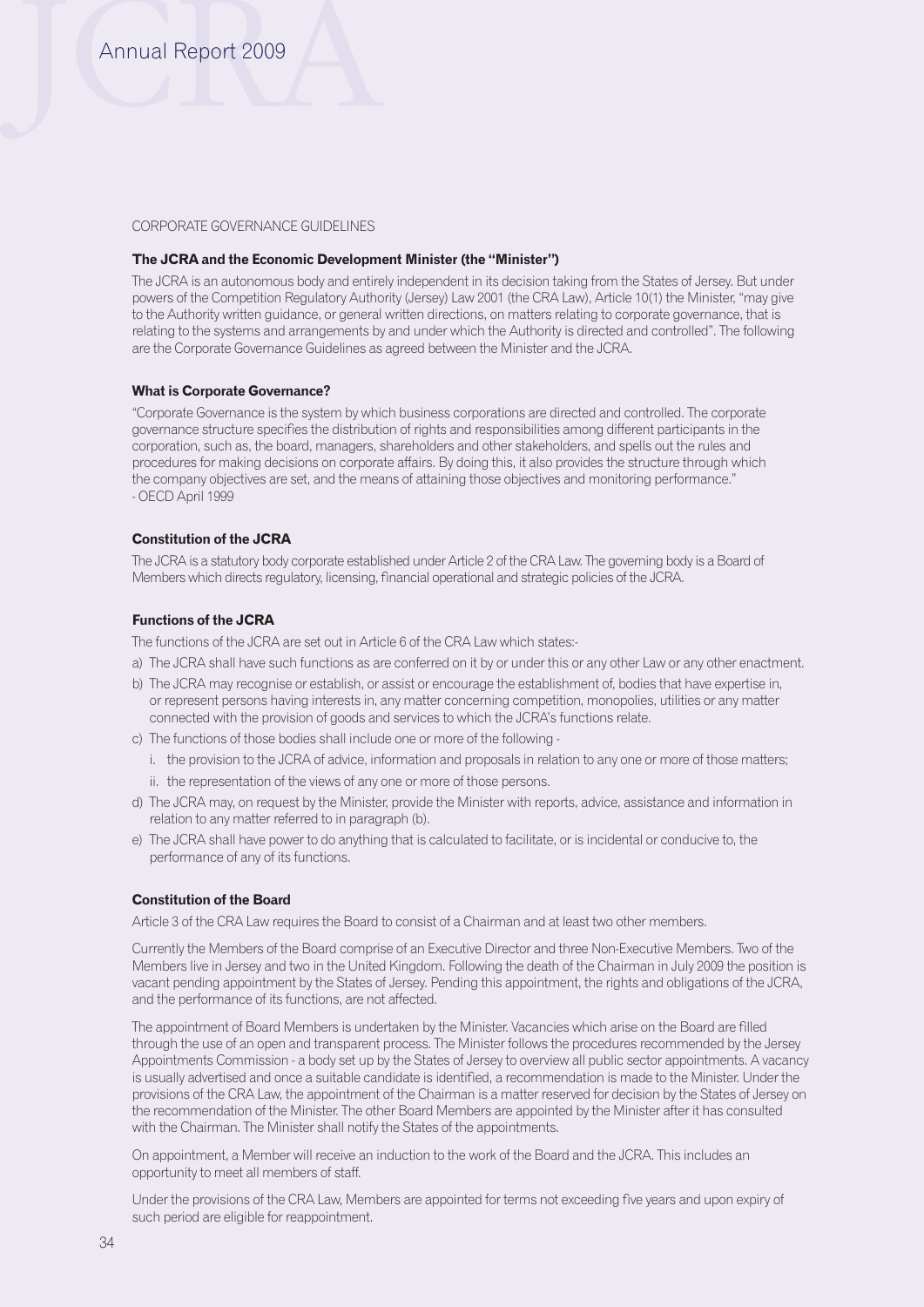#### CORPORATE GOVERNANCE GUIDELINES

#### **The JCRA and the Economic Development Minister (the "Minister")**

The JCRA is an autonomous body and entirely independent in its decision taking from the States of Jersey. But under powers of the Competition Regulatory Authority (Jersey) Law 2001 (the CRA Law), Article 10(1) the Minister, "may give to the Authority written guidance, or general written directions, on matters relating to corporate governance, that is relating to the systems and arrangements by and under which the Authority is directed and controlled". The following are the Corporate Governance Guidelines as agreed between the Minister and the JCRA.

#### **What is Corporate Governance?**

"Corporate Governance is the system by which business corporations are directed and controlled. The corporate governance structure specifies the distribution of rights and responsibilities among different participants in the corporation, such as, the board, managers, shareholders and other stakeholders, and spells out the rules and procedures for making decisions on corporate affairs. By doing this, it also provides the structure through which the company objectives are set, and the means of attaining those objectives and monitoring performance." - OECD April 1999

## **Constitution of the JCRA**

The JCRA is a statutory body corporate established under Article 2 of the CRA Law. The governing body is a Board of Members which directs regulatory, licensing, financial operational and strategic policies of the JCRA.

### **Functions of the JCRA**

The functions of the JCRA are set out in Article 6 of the CRA Law which states:-

- a) The JCRA shall have such functions as are conferred on it by or under this or any other Law or any other enactment.
- b) The JCRA may recognise or establish, or assist or encourage the establishment of, bodies that have expertise in, or represent persons having interests in, any matter concerning competition, monopolies, utilities or any matter connected with the provision of goods and services to which the JCRA's functions relate.
- c) The functions of those bodies shall include one or more of the following
	- i. the provision to the JCRA of advice, information and proposals in relation to any one or more of those matters;
	- ii. the representation of the views of any one or more of those persons.
- d) The JCRA may, on request by the Minister, provide the Minister with reports, advice, assistance and information in relation to any matter referred to in paragraph (b).
- e) The JCRA shall have power to do anything that is calculated to facilitate, or is incidental or conducive to, the performance of any of its functions.

#### **Constitution of the Board**

Article 3 of the CRA Law requires the Board to consist of a Chairman and at least two other members.

Currently the Members of the Board comprise of an Executive Director and three Non-Executive Members. Two of the Members live in Jersey and two in the United Kingdom. Following the death of the Chairman in July 2009 the position is vacant pending appointment by the States of Jersey. Pending this appointment, the rights and obligations of the JCRA, and the performance of its functions, are not affected.

The appointment of Board Members is undertaken by the Minister. Vacancies which arise on the Board are filled through the use of an open and transparent process. The Minister follows the procedures recommended by the Jersey Appointments Commission - a body set up by the States of Jersey to overview all public sector appointments. A vacancy is usually advertised and once a suitable candidate is identified, a recommendation is made to the Minister. Under the provisions of the CRA Law, the appointment of the Chairman is a matter reserved for decision by the States of Jersey on the recommendation of the Minister. The other Board Members are appointed by the Minister after it has consulted with the Chairman. The Minister shall notify the States of the appointments.

On appointment, a Member will receive an induction to the work of the Board and the JCRA. This includes an opportunity to meet all members of staff.

Under the provisions of the CRA Law, Members are appointed for terms not exceeding five years and upon expiry of such period are eligible for reappointment.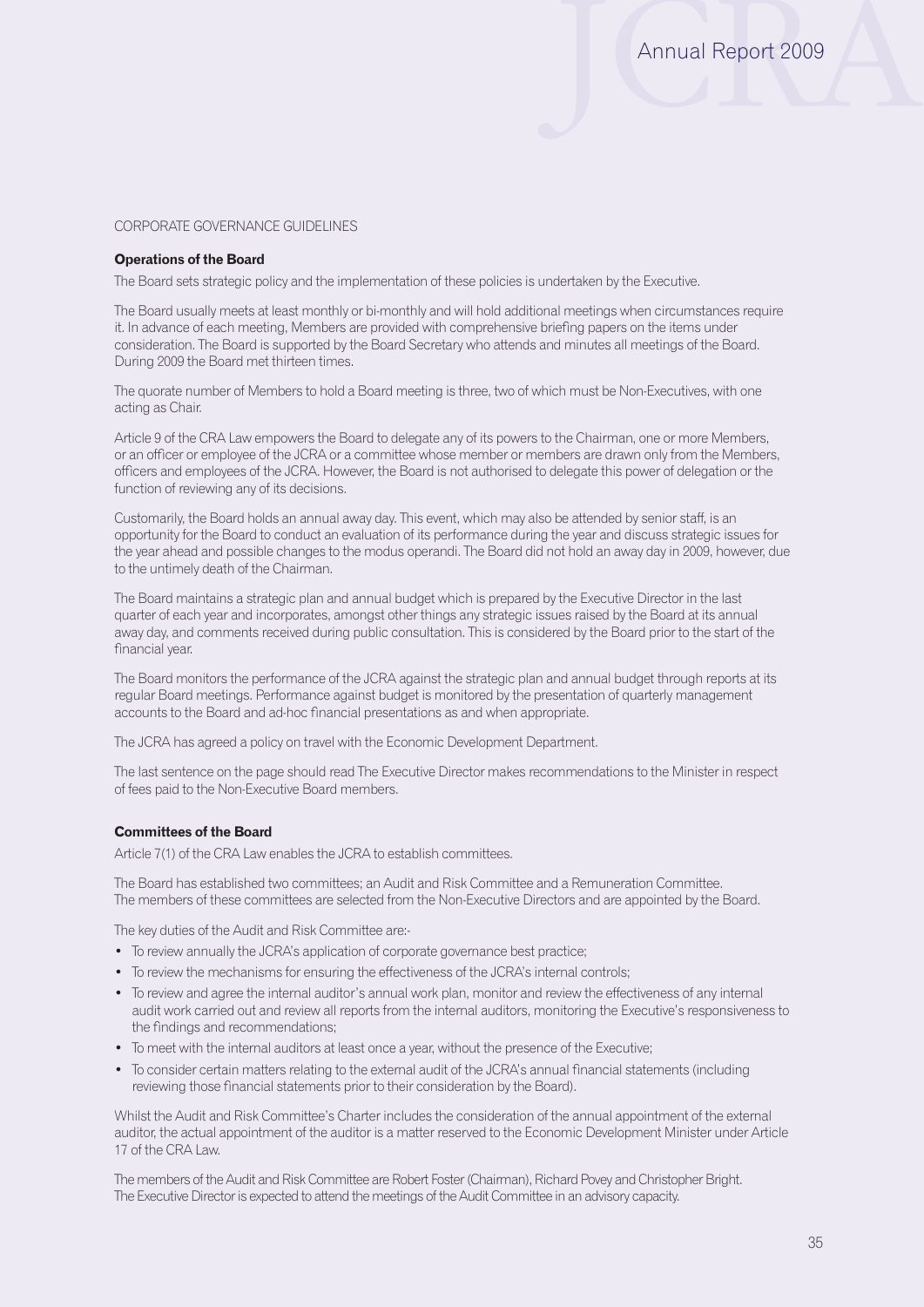#### CORPORATE GOVERNANCE GUIDELINES

#### **Operations of the Board**

The Board sets strategic policy and the implementation of these policies is undertaken by the Executive.

The Board usually meets at least monthly or bi-monthly and will hold additional meetings when circumstances require it. In advance of each meeting, Members are provided with comprehensive briefing papers on the items under consideration. The Board is supported by the Board Secretary who attends and minutes all meetings of the Board. During 2009 the Board met thirteen times.

The quorate number of Members to hold a Board meeting is three, two of which must be Non-Executives, with one acting as Chair.

Article 9 of the CRA Law empowers the Board to delegate any of its powers to the Chairman, one or more Members, or an officer or employee of the JCRA or a committee whose member or members are drawn only from the Members, officers and employees of the JCRA. However, the Board is not authorised to delegate this power of delegation or the function of reviewing any of its decisions.

Customarily, the Board holds an annual away day. This event, which may also be attended by senior staff, is an opportunity for the Board to conduct an evaluation of its performance during the year and discuss strategic issues for the year ahead and possible changes to the modus operandi. The Board did not hold an away day in 2009, however, due to the untimely death of the Chairman.

The Board maintains a strategic plan and annual budget which is prepared by the Executive Director in the last quarter of each year and incorporates, amongst other things any strategic issues raised by the Board at its annual away day, and comments received during public consultation. This is considered by the Board prior to the start of the financial year.

The Board monitors the performance of the JCRA against the strategic plan and annual budget through reports at its regular Board meetings. Performance against budget is monitored by the presentation of quarterly management accounts to the Board and ad-hoc financial presentations as and when appropriate.

The JCRA has agreed a policy on travel with the Economic Development Department.

The last sentence on the page should read The Executive Director makes recommendations to the Minister in respect of fees paid to the Non-Executive Board members.

#### **Committees of the Board**

Article 7(1) of the CRA Law enables the JCRA to establish committees.

The Board has established two committees; an Audit and Risk Committee and a Remuneration Committee. The members of these committees are selected from the Non-Executive Directors and are appointed by the Board.

The key duties of the Audit and Risk Committee are:-

- To review annually the JCRA's application of corporate governance best practice;
- To review the mechanisms for ensuring the effectiveness of the JCRA's internal controls;
- • To review and agree the internal auditor's annual work plan, monitor and review the effectiveness of any internal audit work carried out and review all reports from the internal auditors, monitoring the Executive's responsiveness to the findings and recommendations;
- To meet with the internal auditors at least once a year, without the presence of the Executive;
- • To consider certain matters relating to the external audit of the JCRA's annual financial statements (including reviewing those financial statements prior to their consideration by the Board).

Whilst the Audit and Risk Committee's Charter includes the consideration of the annual appointment of the external auditor, the actual appointment of the auditor is a matter reserved to the Economic Development Minister under Article 17 of the CRA Law.

The members of the Audit and Risk Committee are Robert Foster (Chairman), Richard Povey and Christopher Bright. The Executive Director is expected to attend the meetings of the Audit Committee in an advisory capacity.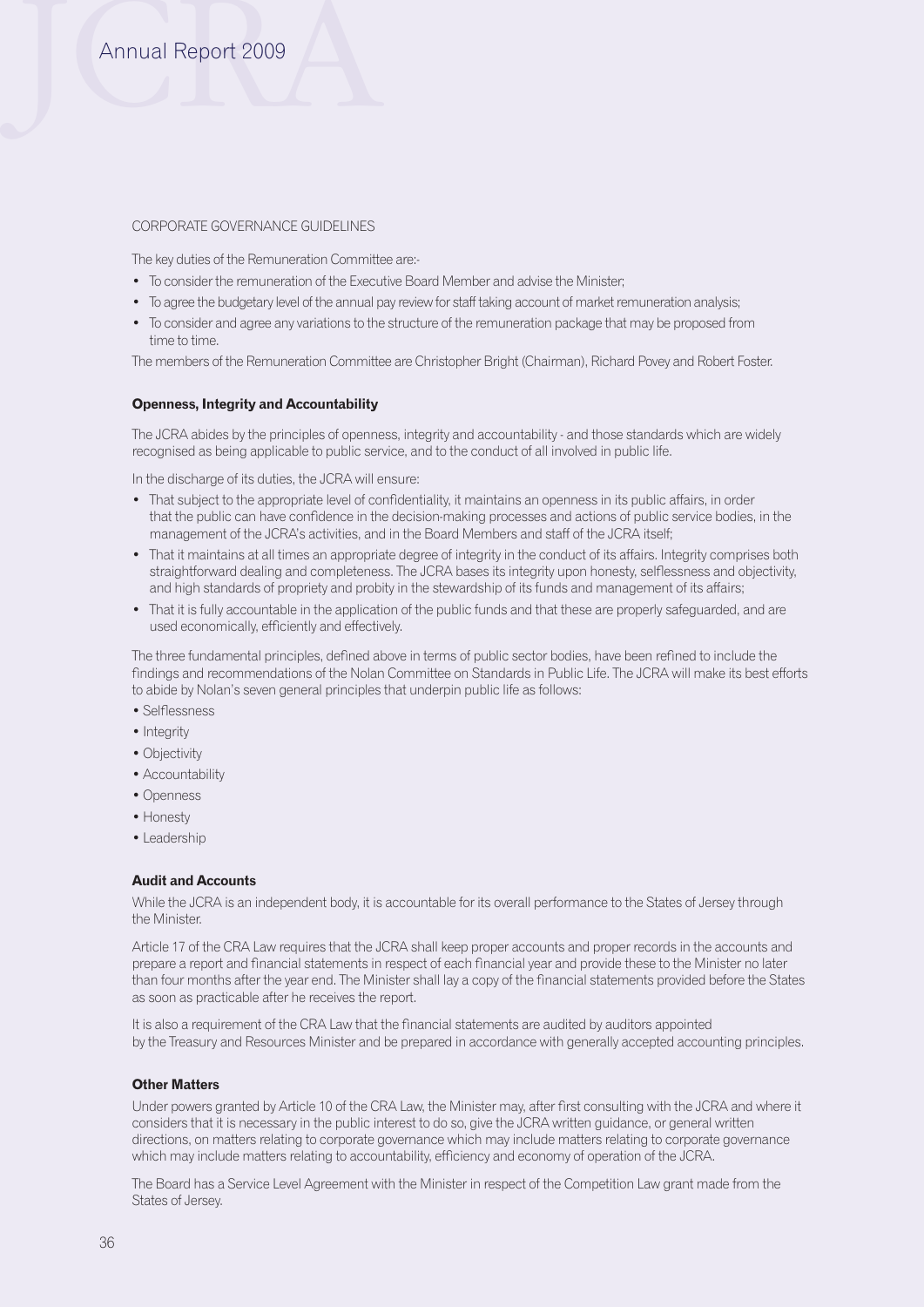# Annual Report 2009

#### CORPORATE GOVERNANCE GUIDELINES

The key duties of the Remuneration Committee are:-

- To consider the remuneration of the Executive Board Member and advise the Minister;
- To agree the budgetary level of the annual pay review for staff taking account of market remuneration analysis;
- To consider and agree any variations to the structure of the remuneration package that may be proposed from time to time.

The members of the Remuneration Committee are Christopher Bright (Chairman), Richard Povey and Robert Foster.

#### **Openness, Integrity and Accountability**

The JCRA abides by the principles of openness, integrity and accountability - and those standards which are widely recognised as being applicable to public service, and to the conduct of all involved in public life.

In the discharge of its duties, the JCRA will ensure:

- That subject to the appropriate level of confidentiality, it maintains an openness in its public affairs, in order that the public can have confidence in the decision-making processes and actions of public service bodies, in the management of the JCRA's activities, and in the Board Members and staff of the JCRA itself;
- • That it maintains at all times an appropriate degree of integrity in the conduct of its affairs. Integrity comprises both straightforward dealing and completeness. The JCRA bases its integrity upon honesty, selflessness and objectivity, and high standards of propriety and probity in the stewardship of its funds and management of its affairs;
- That it is fully accountable in the application of the public funds and that these are properly safeguarded, and are used economically, efficiently and effectively.

The three fundamental principles, defined above in terms of public sector bodies, have been refined to include the findings and recommendations of the Nolan Committee on Standards in Public Life. The JCRA will make its best efforts to abide by Nolan's seven general principles that underpin public life as follows:

- Selflessness
- Integrity
- Objectivity
- Accountability
- Openness
- Honesty
- Leadership

#### **Audit and Accounts**

While the JCRA is an independent body, it is accountable for its overall performance to the States of Jersey through the Minister.

Article 17 of the CRA Law requires that the JCRA shall keep proper accounts and proper records in the accounts and prepare a report and financial statements in respect of each financial year and provide these to the Minister no later than four months after the year end. The Minister shall lay a copy of the financial statements provided before the States as soon as practicable after he receives the report.

It is also a requirement of the CRA Law that the financial statements are audited by auditors appointed by the Treasury and Resources Minister and be prepared in accordance with generally accepted accounting principles.

#### **Other Matters**

Under powers granted by Article 10 of the CRA Law, the Minister may, after first consulting with the JCRA and where it considers that it is necessary in the public interest to do so, give the JCRA written guidance, or general written directions, on matters relating to corporate governance which may include matters relating to corporate governance which may include matters relating to accountability, efficiency and economy of operation of the JCRA.

The Board has a Service Level Agreement with the Minister in respect of the Competition Law grant made from the States of Jersey.